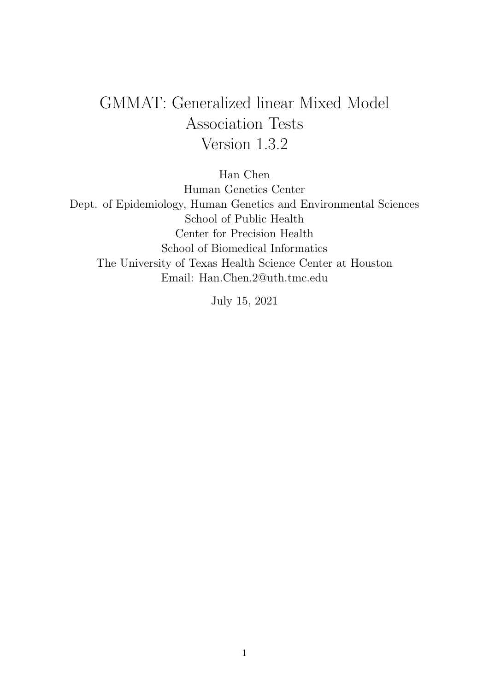# GMMAT: Generalized linear Mixed Model Association Tests Version 1.3.2

Han Chen

Human Genetics Center Dept. of Epidemiology, Human Genetics and Environmental Sciences School of Public Health Center for Precision Health School of Biomedical Informatics The University of Texas Health Science Center at Houston Email: Han.Chen.2@uth.tmc.edu

July 15, 2021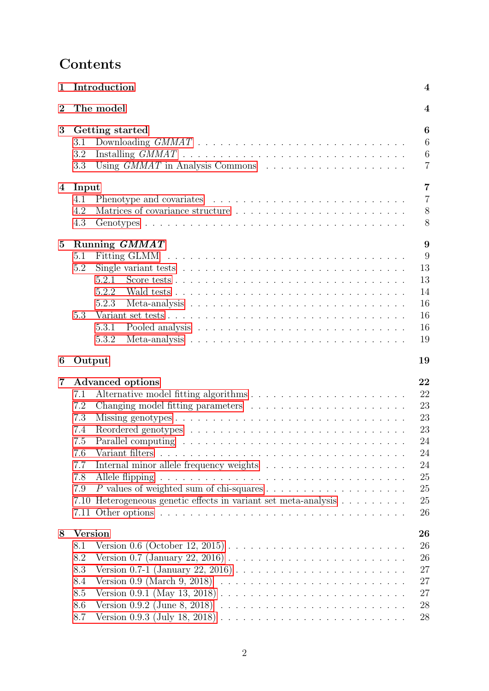# Contents

| 1              | Introduction                                                                                                                                                                                                                                                                                                                                                                                                                                                                                                                                                                                                                              | $\boldsymbol{4}$                                                     |  |  |  |  |  |  |  |  |
|----------------|-------------------------------------------------------------------------------------------------------------------------------------------------------------------------------------------------------------------------------------------------------------------------------------------------------------------------------------------------------------------------------------------------------------------------------------------------------------------------------------------------------------------------------------------------------------------------------------------------------------------------------------------|----------------------------------------------------------------------|--|--|--|--|--|--|--|--|
| $\overline{2}$ | The model                                                                                                                                                                                                                                                                                                                                                                                                                                                                                                                                                                                                                                 | 4                                                                    |  |  |  |  |  |  |  |  |
| 3              | Getting started<br>Using $GMMAT$ in Analysis Commons $\ldots \ldots \ldots \ldots \ldots \ldots$                                                                                                                                                                                                                                                                                                                                                                                                                                                                                                                                          |                                                                      |  |  |  |  |  |  |  |  |
| 4              | Input<br>4.1<br>4.2<br>4.3                                                                                                                                                                                                                                                                                                                                                                                                                                                                                                                                                                                                                | $\overline{7}$<br>$\overline{7}$<br>8<br>8                           |  |  |  |  |  |  |  |  |
| $\mathbf{5}$   | Running GMMAT<br>5.1<br>Fitting GLMM<br>5.2<br>5.2.1<br>5.2.2<br>5.2.3<br>5.3<br>5.3.1<br>5.3.2<br>Meta-analysis $\ldots \ldots \ldots \ldots \ldots \ldots \ldots \ldots \ldots \ldots$                                                                                                                                                                                                                                                                                                                                                                                                                                                  | 9<br>9<br>13<br>13<br>14<br>16<br>16<br>16<br>19                     |  |  |  |  |  |  |  |  |
| 6              | Output                                                                                                                                                                                                                                                                                                                                                                                                                                                                                                                                                                                                                                    | 19                                                                   |  |  |  |  |  |  |  |  |
| 7              | <b>Advanced options</b><br>7.1<br>7.2<br>7.3<br>7.4<br>7.5<br>7.6<br>7.7<br>7.8<br>7.9<br>7.10 Heterogeneous genetic effects in variant set meta-analysis<br>7.11                                                                                                                                                                                                                                                                                                                                                                                                                                                                         | 22<br>22<br>23<br>23<br>23<br>24<br>24<br>24<br>25<br>25<br>25<br>26 |  |  |  |  |  |  |  |  |
| 8              | <b>Version</b><br>Version 0.6 (October 12, 2015) $\ldots \ldots \ldots \ldots \ldots \ldots \ldots \ldots$<br>8.1<br>Version 0.7 (January 22, 2016) $\ldots \ldots \ldots \ldots \ldots \ldots \ldots \ldots$<br>8.2<br>Version 0.7-1 (January 22, 2016) $\ldots \ldots \ldots \ldots \ldots \ldots \ldots \ldots$<br>8.3<br>Version 0.9 (March 9, 2018) $\ldots \ldots \ldots \ldots \ldots \ldots \ldots \ldots$<br>8.4<br>Version 0.9.1 (May 13, 2018) $\ldots \ldots \ldots \ldots \ldots \ldots \ldots \ldots \ldots$<br>8.5<br>Version 0.9.2 (June 8, 2018) $\ldots \ldots \ldots \ldots \ldots \ldots \ldots \ldots$<br>8.6<br>8.7 | 26<br>26<br>26<br>27<br>27<br>27<br>28<br>28                         |  |  |  |  |  |  |  |  |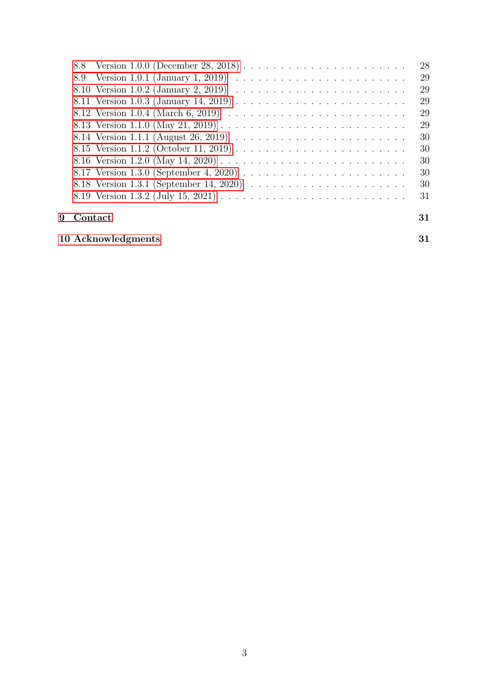|   |         | 28 |
|---|---------|----|
|   |         | 29 |
|   |         | 29 |
|   |         | 29 |
|   |         | 29 |
|   |         | 29 |
|   |         | 30 |
|   |         | 30 |
|   |         | 30 |
|   |         | 30 |
|   |         | 30 |
|   |         | 31 |
| 9 | Contact | 31 |

### [10 Acknowledgments](#page-30-2) 31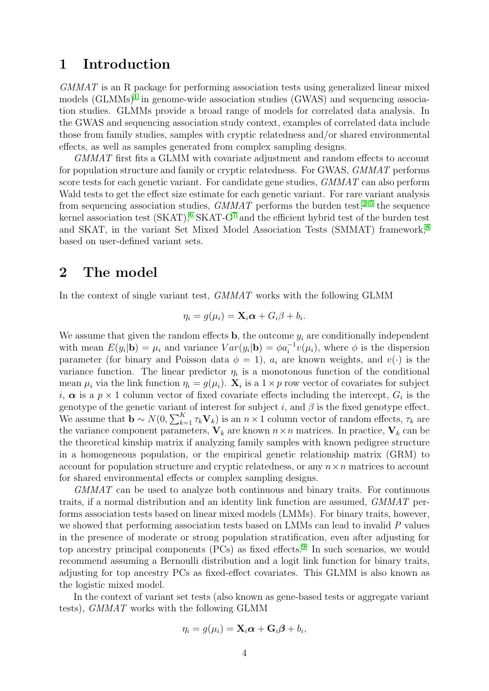### <span id="page-3-0"></span>1 Introduction

GMMAT is an R package for performing association tests using generalized linear mixed models (GLMMs)<sup>[1](#page-30-3)</sup> in genome-wide association studies (GWAS) and sequencing association studies. GLMMs provide a broad range of models for correlated data analysis. In the GWAS and sequencing association study context, examples of correlated data include those from family studies, samples with cryptic relatedness and/or shared environmental effects, as well as samples generated from complex sampling designs.

GMMAT first fits a GLMM with covariate adjustment and random effects to account for population structure and family or cryptic relatedness. For GWAS, GMMAT performs score tests for each genetic variant. For candidate gene studies, GMMAT can also perform Wald tests to get the effect size estimate for each genetic variant. For rare variant analysis from sequencing association studies,  $GMMAT$  performs the burden test,<sup>[2](#page-31-0)[–5](#page-31-1)</sup> the sequence kernel association test  $(SKAT)$ ,  $6$   $SKAT-O<sup>7</sup>$  $SKAT-O<sup>7</sup>$  $SKAT-O<sup>7</sup>$  and the efficient hybrid test of the burden test and SKAT, in the variant Set Mixed Model Association Tests (SMMAT) framework,<sup>[8](#page-31-4)</sup> based on user-defined variant sets.

### <span id="page-3-1"></span>2 The model

In the context of single variant test, GMMAT works with the following GLMM

$$
\eta_i = g(\mu_i) = \mathbf{X}_i \boldsymbol{\alpha} + G_i \beta + b_i.
$$

We assume that given the random effects  $\mathbf{b}$ , the outcome  $y_i$  are conditionally independent with mean  $E(y_i|\mathbf{b}) = \mu_i$  and variance  $Var(y_i|\mathbf{b}) = \phi a_i^{-1} v(\mu_i)$ , where  $\phi$  is the dispersion parameter (for binary and Poisson data  $\phi = 1$ ),  $a_i$  are known weights, and  $v(\cdot)$  is the variance function. The linear predictor  $\eta_i$  is a monotonous function of the conditional mean  $\mu_i$  via the link function  $\eta_i = g(\mu_i)$ .  $\mathbf{X}_i$  is a  $1 \times p$  row vector of covariates for subject i,  $\alpha$  is a  $p \times 1$  column vector of fixed covariate effects including the intercept,  $G_i$  is the genotype of the genetic variant of interest for subject i, and  $\beta$  is the fixed genotype effect. We assume that  $\mathbf{b} \sim N(0, \sum_{k=1}^{K} \tau_k \mathbf{V}_k)$  is an  $n \times 1$  column vector of random effects,  $\tau_k$  are the variance component parameters,  $V_k$  are known  $n \times n$  matrices. In practice,  $V_k$  can be the theoretical kinship matrix if analyzing family samples with known pedigree structure in a homogeneous population, or the empirical genetic relationship matrix (GRM) to account for population structure and cryptic relatedness, or any  $n \times n$  matrices to account for shared environmental effects or complex sampling designs.

GMMAT can be used to analyze both continuous and binary traits. For continuous traits, if a normal distribution and an identity link function are assumed, GMMAT performs association tests based on linear mixed models (LMMs). For binary traits, however, we showed that performing association tests based on LMMs can lead to invalid P values in the presence of moderate or strong population stratification, even after adjusting for top ancestry principal components (PCs) as fixed effects.<sup>[9](#page-31-5)</sup> In such scenarios, we would recommend assuming a Bernoulli distribution and a logit link function for binary traits, adjusting for top ancestry PCs as fixed-effect covariates. This GLMM is also known as the logistic mixed model.

In the context of variant set tests (also known as gene-based tests or aggregate variant tests), GMMAT works with the following GLMM

$$
\eta_i = g(\mu_i) = \mathbf{X}_i \boldsymbol{\alpha} + \mathbf{G}_i \boldsymbol{\beta} + b_i,
$$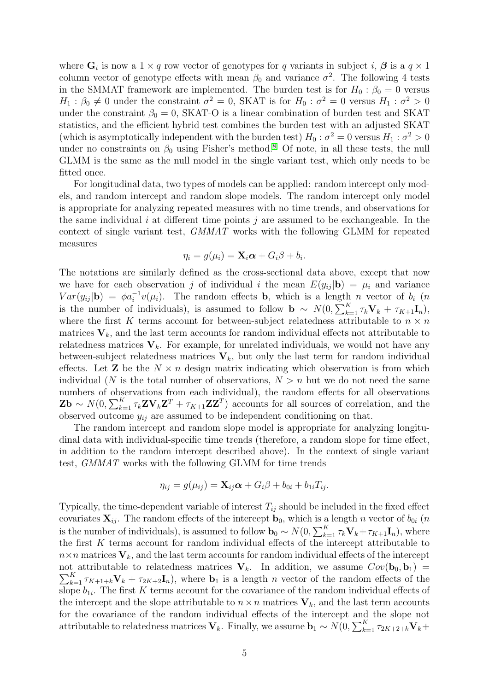where  $\mathbf{G}_i$  is now a  $1 \times q$  row vector of genotypes for q variants in subject i,  $\boldsymbol{\beta}$  is a  $q \times 1$ column vector of genotype effects with mean  $\beta_0$  and variance  $\sigma^2$ . The following 4 tests in the SMMAT framework are implemented. The burden test is for  $H_0$ :  $\beta_0 = 0$  versus  $H_1: \beta_0 \neq 0$  under the constraint  $\sigma^2 = 0$ , SKAT is for  $H_0: \sigma^2 = 0$  versus  $H_1: \sigma^2 > 0$ under the constraint  $\beta_0 = 0$ , SKAT-O is a linear combination of burden test and SKAT statistics, and the efficient hybrid test combines the burden test with an adjusted SKAT (which is asymptotically independent with the burden test)  $H_0$ :  $\sigma^2 = 0$  versus  $H_1$ :  $\sigma^2 > 0$ under no constraints on  $\beta_0$  using Fisher's method.<sup>[8](#page-31-4)</sup> Of note, in all these tests, the null GLMM is the same as the null model in the single variant test, which only needs to be fitted once.

For longitudinal data, two types of models can be applied: random intercept only models, and random intercept and random slope models. The random intercept only model is appropriate for analyzing repeated measures with no time trends, and observations for the same individual i at different time points j are assumed to be exchangeable. In the context of single variant test, GMMAT works with the following GLMM for repeated measures

$$
\eta_i = g(\mu_i) = \mathbf{X}_i \boldsymbol{\alpha} + G_i \boldsymbol{\beta} + b_i.
$$

The notations are similarly defined as the cross-sectional data above, except that now we have for each observation j of individual i the mean  $E(y_{ii} | \mathbf{b}) = \mu_i$  and variance  $Var(y_{ij}|\mathbf{b}) = \phi a_i^{-1} v(\mu_i)$ . The random effects **b**, which is a length *n* vector of  $b_i$  (*n* is the number of individuals), is assumed to follow  $\mathbf{b} \sim N(0, \sum_{k=1}^{K} \tau_k \mathbf{V}_k + \tau_{K+1} \mathbf{I}_n)$ , where the first K terms account for between-subject relatedness attributable to  $n \times n$ matrices  $V_k$ , and the last term accounts for random individual effects not attributable to relatedness matrices  $V_k$ . For example, for unrelated individuals, we would not have any between-subject relatedness matrices  $V_k$ , but only the last term for random individual effects. Let **Z** be the  $N \times n$  design matrix indicating which observation is from which individual (N is the total number of observations,  $N > n$  but we do not need the same numbers of observations from each individual), the random effects for all observations  $\mathbf{Zb} \sim N(0, \sum_{k=1}^{K} \tau_k \mathbf{Z} \mathbf{V}_k \mathbf{Z}^T + \tau_{K+1} \mathbf{Z} \mathbf{Z}^T)$  accounts for all sources of correlation, and the observed outcome  $y_{ij}$  are assumed to be independent conditioning on that.

The random intercept and random slope model is appropriate for analyzing longitudinal data with individual-specific time trends (therefore, a random slope for time effect, in addition to the random intercept described above). In the context of single variant test, GMMAT works with the following GLMM for time trends

$$
\eta_{ij}=g(\mu_{ij})=\mathbf{X}_{ij}\boldsymbol{\alpha}+G_i\beta+b_{0i}+b_{1i}T_{ij}.
$$

Typically, the time-dependent variable of interest  $T_{ij}$  should be included in the fixed effect covariates  $\mathbf{X}_{ij}$ . The random effects of the intercept  $\mathbf{b}_0$ , which is a length n vector of  $b_{0i}$  (n is the number of individuals), is assumed to follow  $\mathbf{b}_0 \sim N(0, \sum_{k=1}^K \tau_k \mathbf{V}_k + \tau_{K+1} \mathbf{I}_n)$ , where the first K terms account for random individual effects of the intercept attributable to  $n \times n$  matrices  $V_k$ , and the last term accounts for random individual effects of the intercept  $\sum_{k=1}^K \tau_{K+1+k} \mathbf{V}_k + \tau_{2K+2} \mathbf{I}_n$ , where  $\mathbf{b}_1$  is a length n vector of the random effects of the not attributable to relatedness matrices  $V_k$ . In addition, we assume  $Cov(b_0, b_1)$ slope  $b_{1i}$ . The first K terms account for the covariance of the random individual effects of the intercept and the slope attributable to  $n \times n$  matrices  $V_k$ , and the last term accounts for the covariance of the random individual effects of the intercept and the slope not attributable to relatedness matrices  $V_k$ . Finally, we assume  $\mathbf{b}_1 \sim N(0, \sum_{k=1}^K \tau_{2K+2+k} \mathbf{V}_k +$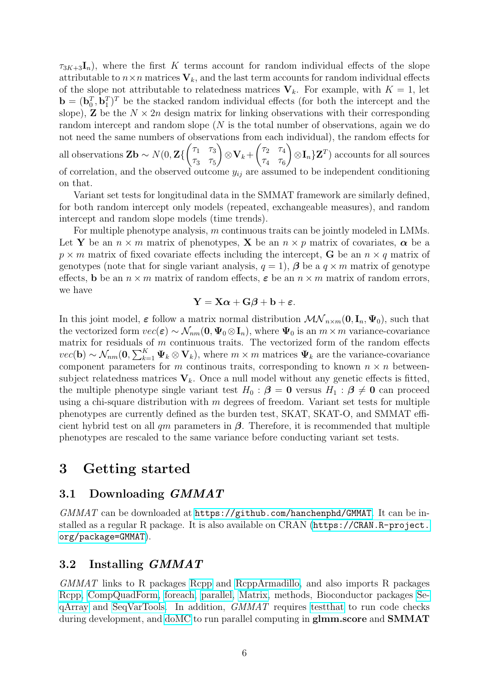$\tau_{3K+3}\mathbf{I}_n$ , where the first K terms account for random individual effects of the slope attributable to  $n \times n$  matrices  $V_k$ , and the last term accounts for random individual effects of the slope not attributable to relatedness matrices  $V_k$ . For example, with  $K = 1$ , let  $\mathbf{b} = (\mathbf{b}_0^T, \mathbf{b}_1^T)^T$  be the stacked random individual effects (for both the intercept and the slope), **Z** be the  $N \times 2n$  design matrix for linking observations with their corresponding random intercept and random slope (N is the total number of observations, again we do not need the same numbers of observations from each individual), the random effects for all observations  $\mathbf{Zb} \sim N(0, \mathbf{Z})$  $\begin{pmatrix} \tau_1 & \tau_3 \end{pmatrix}$  $\tau_3$   $\tau_5$  $\setminus$  $\otimes\mathbf{V}_k+$  $\begin{pmatrix} \tau_2 & \tau_4 \end{pmatrix}$  $\tau_4$   $\tau_6$  $\setminus$  $\otimes \mathbf{I}_n \} \mathbf{Z}^T$  accounts for all sources of correlation, and the observed outcome  $y_{ij}$  are assumed to be independent conditioning on that.

Variant set tests for longitudinal data in the SMMAT framework are similarly defined, for both random intercept only models (repeated, exchangeable measures), and random intercept and random slope models (time trends).

For multiple phenotype analysis, m continuous traits can be jointly modeled in LMMs. Let Y be an  $n \times m$  matrix of phenotypes, X be an  $n \times p$  matrix of covariates,  $\alpha$  be a  $p \times m$  matrix of fixed covariate effects including the intercept, **G** be an  $n \times q$  matrix of genotypes (note that for single variant analysis,  $q = 1$ ),  $\beta$  be a  $q \times m$  matrix of genotype effects, b be an  $n \times m$  matrix of random effects,  $\varepsilon$  be an  $n \times m$  matrix of random errors, we have

$$
\mathbf{Y} = \mathbf{X}\boldsymbol{\alpha} + \mathbf{G}\boldsymbol{\beta} + \mathbf{b} + \boldsymbol{\varepsilon}.
$$

In this joint model,  $\varepsilon$  follow a matrix normal distribution  $\mathcal{MN}_{n\times m}(\mathbf{0}, \mathbf{I}_n, \Psi_0)$ , such that the vectorized form  $vec(\epsilon) \sim \mathcal{N}_{nm}(\mathbf{0}, \Psi_0 \otimes \mathbf{I}_n)$ , where  $\Psi_0$  is an  $m \times m$  variance-covariance matrix for residuals of  $m$  continuous traits. The vectorized form of the random effects  $vec(\mathbf{b}) \sim \mathcal{N}_{nm}(\mathbf{0}, \sum_{k=1}^{K} \Psi_k \otimes \mathbf{V}_k)$ , where  $m \times m$  matrices  $\Psi_k$  are the variance-covariance component parameters for m continous traits, corresponding to known  $n \times n$  betweensubject relatedness matrices  $V_k$ . Once a null model without any genetic effects is fitted, the multiple phenotype single variant test  $H_0$ :  $\beta = 0$  versus  $H_1 : \beta \neq 0$  can proceed using a chi-square distribution with  $m$  degrees of freedom. Variant set tests for multiple phenotypes are currently defined as the burden test, SKAT, SKAT-O, and SMMAT efficient hybrid test on all  $qm$  parameters in  $\beta$ . Therefore, it is recommended that multiple phenotypes are rescaled to the same variance before conducting variant set tests.

### <span id="page-5-0"></span>3 Getting started

#### <span id="page-5-1"></span>3.1 Downloading GMMAT

 $GMMAT$  can be downloaded at <https://github.com/hanchenphd/GMMAT>. It can be installed as a regular R package. It is also available on CRAN ([https://CRAN.R-project.](https://CRAN.R-project.org/package=GMMAT) [org/package=GMMAT](https://CRAN.R-project.org/package=GMMAT)).

#### <span id="page-5-2"></span>3.2 Installing GMMAT

GMMAT links to R packages [Rcpp](https://cran.r-project.org/web/packages/Rcpp/index.html) and [RcppArmadillo,](https://cran.r-project.org/web/packages/RcppArmadillo/index.html) and also imports R packages [Rcpp,](https://cran.r-project.org/web/packages/Rcpp/index.html) [CompQuadForm,](https://cran.r-project.org/web/packages/CompQuadForm/index.html) [foreach,](https://cran.r-project.org/web/packages/foreach/index.html) [parallel,](https://cran.r-project.org/web/views/HighPerformanceComputing.html) [Matrix,](https://cran.r-project.org/web/packages/Matrix/index.html) methods, Bioconductor packages [Se](http://bioconductor.org/packages/release/bioc/html/SeqArray.html)[qArray](http://bioconductor.org/packages/release/bioc/html/SeqArray.html) and [SeqVarTools.](http://bioconductor.org/packages/release/bioc/html/SeqVarTools.html) In addition, GMMAT requires [testthat](https://cran.r-project.org/web/packages/testthat/index.html) to run code checks during development, and [doMC](https://cran.r-project.org/web/packages/doMC/index.html) to run parallel computing in glmm.score and **SMMAT**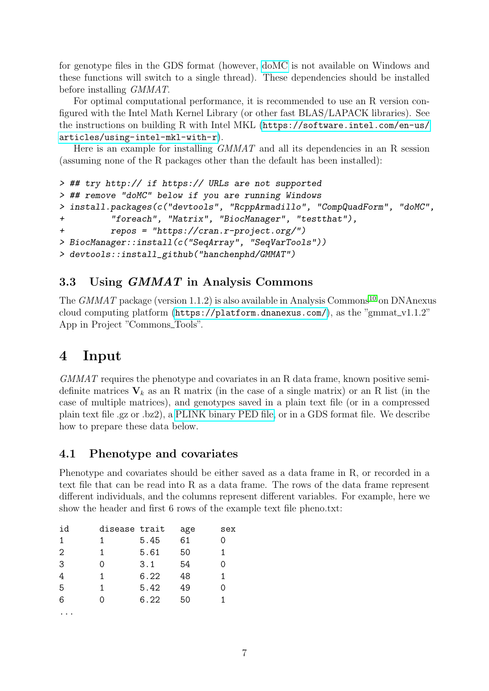for genotype files in the GDS format (however, [doMC](https://cran.r-project.org/web/packages/doMC/index.html) is not available on Windows and these functions will switch to a single thread). These dependencies should be installed before installing GMMAT.

For optimal computational performance, it is recommended to use an R version configured with the Intel Math Kernel Library (or other fast BLAS/LAPACK libraries). See the instructions on building R with Intel MKL ([https://software.intel.com/en-us/](https://software.intel.com/en-us/articles/using-intel-mkl-with-r) [articles/using-intel-mkl-with-r](https://software.intel.com/en-us/articles/using-intel-mkl-with-r)).

Here is an example for installing  $GMMAT$  and all its dependencies in an R session (assuming none of the R packages other than the default has been installed):

```
> ## try http:// if https:// URLs are not supported
> ## remove "doMC" below if you are running Windows
> install.packages(c("devtools", "RcppArmadillo", "CompQuadForm", "doMC",
+ "foreach", "Matrix", "BiocManager", "testthat"),
+ repos = "https://cran.r-project.org/")
> BiocManager::install(c("SeqArray", "SeqVarTools"))
> devtools::install_github("hanchenphd/GMMAT")
```
### <span id="page-6-0"></span>3.3 Using GMMAT in Analysis Commons

The  $GMMAT$  package (version 1.1.2) is also available in Analysis Commons<sup>[10](#page-31-6)</sup> on DNAnexus cloud computing platform (<https://platform.dnanexus.com/>), as the "gmmat\_v1.1.2" App in Project "Commons\_Tools".

# <span id="page-6-1"></span>4 Input

GMMAT requires the phenotype and covariates in an R data frame, known positive semidefinite matrices  $V_k$  as an R matrix (in the case of a single matrix) or an R list (in the case of multiple matrices), and genotypes saved in a plain text file (or in a compressed plain text file .gz or .bz2), a [PLINK binary PED file,](http://zzz.bwh.harvard.edu/plink/data.shtml#bed) or in a GDS format file. We describe how to prepare these data below.

### <span id="page-6-2"></span>4.1 Phenotype and covariates

Phenotype and covariates should be either saved as a data frame in R, or recorded in a text file that can be read into R as a data frame. The rows of the data frame represent different individuals, and the columns represent different variables. For example, here we show the header and first 6 rows of the example text file pheno.txt:

| id             | disease trait |      | age | sex |
|----------------|---------------|------|-----|-----|
| 1              | 1             | 5.45 | 61  | O   |
| $\overline{2}$ | 1             | 5.61 | 50  | 1.  |
| 3              | ი             | 3.1  | 54  | 0   |
| 4              | 1             | 6.22 | 48  | 1   |
| 5              | 1             | 5.42 | 49  | 0   |
| 6              |               | 6.22 | 50  | 1   |
|                |               |      |     |     |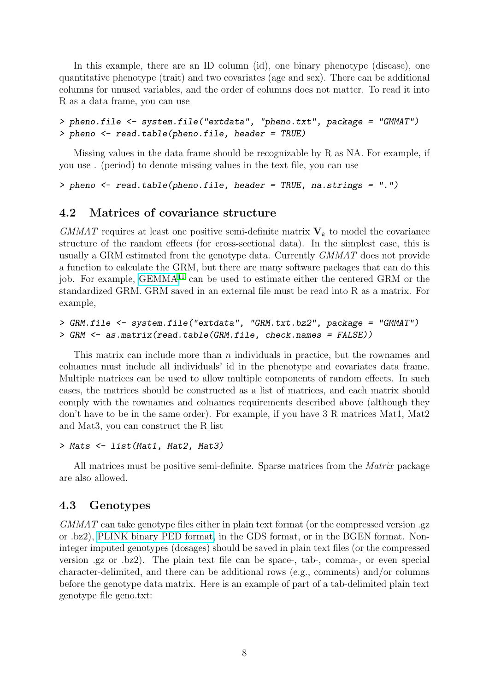In this example, there are an ID column (id), one binary phenotype (disease), one quantitative phenotype (trait) and two covariates (age and sex). There can be additional columns for unused variables, and the order of columns does not matter. To read it into R as a data frame, you can use

```
> pheno.file <- system.file("extdata", "pheno.txt", package = "GMMAT")
> pheno <- read.table(pheno.file, header = TRUE)
```
Missing values in the data frame should be recognizable by R as NA. For example, if you use . (period) to denote missing values in the text file, you can use

```
> pheno <- read.table(pheno.file, header = TRUE, na.strings = ".")
```
#### <span id="page-7-0"></span>4.2 Matrices of covariance structure

 $GMMAT$  requires at least one positive semi-definite matrix  $V_k$  to model the covariance structure of the random effects (for cross-sectional data). In the simplest case, this is usually a GRM estimated from the genotype data. Currently GMMAT does not provide a function to calculate the GRM, but there are many software packages that can do this job. For example,  $GEMMA<sup>11</sup>$  $GEMMA<sup>11</sup>$  $GEMMA<sup>11</sup>$  can be used to estimate either the centered GRM or the standardized GRM. GRM saved in an external file must be read into R as a matrix. For example,

```
> GRM.file <- system.file("extdata", "GRM.txt.bz2", package = "GMMAT")
> GRM <- as.matrix(read.table(GRM.file, check.names = FALSE))
```
This matrix can include more than  $n$  individuals in practice, but the rownames and colnames must include all individuals' id in the phenotype and covariates data frame. Multiple matrices can be used to allow multiple components of random effects. In such cases, the matrices should be constructed as a list of matrices, and each matrix should comply with the rownames and colnames requirements described above (although they don't have to be in the same order). For example, if you have 3 R matrices Mat1, Mat2 and Mat3, you can construct the R list

```
> Mats <- list(Mat1, Mat2, Mat3)
```
All matrices must be positive semi-definite. Sparse matrices from the *Matrix* package are also allowed.

#### <span id="page-7-1"></span>4.3 Genotypes

GMMAT can take genotype files either in plain text format (or the compressed version .gz or .bz2), [PLINK binary PED format,](http://zzz.bwh.harvard.edu/plink/data.shtml#bed) in the GDS format, or in the BGEN format. Noninteger imputed genotypes (dosages) should be saved in plain text files (or the compressed version .gz or .bz2). The plain text file can be space-, tab-, comma-, or even special character-delimited, and there can be additional rows (e.g., comments) and/or columns before the genotype data matrix. Here is an example of part of a tab-delimited plain text genotype file geno.txt: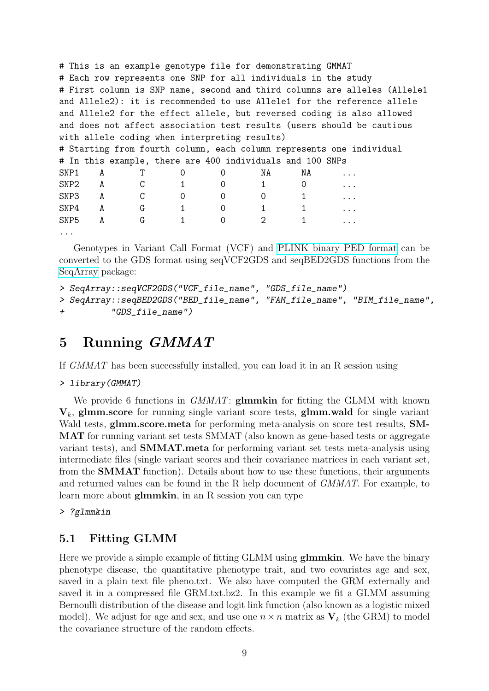# This is an example genotype file for demonstrating GMMAT # Each row represents one SNP for all individuals in the study # First column is SNP name, second and third columns are alleles (Allele1 and Allele2): it is recommended to use Allele1 for the reference allele and Allele2 for the effect allele, but reversed coding is also allowed and does not affect association test results (users should be cautious with allele coding when interpreting results) # Starting from fourth column, each column represents one individual # In this example, there are 400 individuals and 100 SNPs SNP1 A T 0 0 NA NA ...  $SNP2$  A C 1 0 1 0 ... SNP3 A C 0 0 0 1 ...  $SNP4$  A G 1 0 1 1 ... SNP5 A G 1 0 2 1 ... ...

Genotypes in Variant Call Format (VCF) and [PLINK binary PED format](http://zzz.bwh.harvard.edu/plink/data.shtml#bed) can be converted to the GDS format using seqVCF2GDS and seqBED2GDS functions from the [SeqArray](http://bioconductor.org/packages/release/bioc/html/SeqArray.html) package:

```
> SeqArray::seqVCF2GDS("VCF_file_name", "GDS_file_name")
> SeqArray::seqBED2GDS("BED_file_name", "FAM_file_name", "BIM_file_name",
+ "GDS_file_name")
```
# <span id="page-8-0"></span>5 Running GMMAT

If GMMAT has been successfully installed, you can load it in an R session using

> library(GMMAT)

We provide 6 functions in *GMMAT*: **glmmkin** for fitting the GLMM with known  $V_k$ , glmm.score for running single variant score tests, glmm.wald for single variant Wald tests, **glmm.score.meta** for performing meta-analysis on score test results, **SM-**MAT for running variant set tests SMMAT (also known as gene-based tests or aggregate variant tests), and SMMAT.meta for performing variant set tests meta-analysis using intermediate files (single variant scores and their covariance matrices in each variant set, from the SMMAT function). Details about how to use these functions, their arguments and returned values can be found in the R help document of GMMAT. For example, to learn more about glmmkin, in an R session you can type

> ?glmmkin

### <span id="page-8-1"></span>5.1 Fitting GLMM

Here we provide a simple example of fitting GLMM using **glmmkin**. We have the binary phenotype disease, the quantitative phenotype trait, and two covariates age and sex, saved in a plain text file pheno.txt. We also have computed the GRM externally and saved it in a compressed file GRM.txt.bz2. In this example we fit a GLMM assuming Bernoulli distribution of the disease and logit link function (also known as a logistic mixed model). We adjust for age and sex, and use one  $n \times n$  matrix as  $V_k$  (the GRM) to model the covariance structure of the random effects.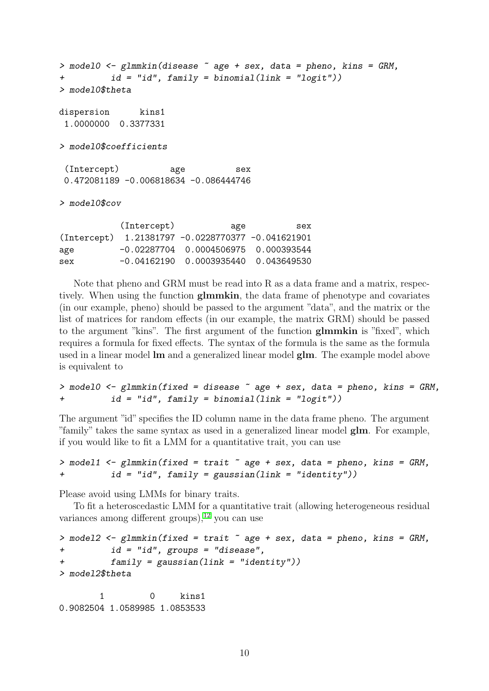```
> model0 <- glmmkin(disease ~ age + sex, data = pheno, kins = GRM,
         id = "id", family = binomial(link = "logit"))> model0$theta
dispersion kins1
1.0000000 0.3377331
> model0$coefficients
 (Intercept) age sex
0.472081189 -0.006818634 -0.086444746
> model0$cov
          (Intercept) age sex
(Intercept) 1.21381797 -0.0228770377 -0.041621901
age -0.02287704 0.0004506975 0.000393544
```
sex -0.04162190 0.0003935440 0.043649530

Note that pheno and GRM must be read into R as a data frame and a matrix, respectively. When using the function glmmkin, the data frame of phenotype and covariates (in our example, pheno) should be passed to the argument "data", and the matrix or the list of matrices for random effects (in our example, the matrix GRM) should be passed to the argument "kins". The first argument of the function glmmkin is "fixed", which requires a formula for fixed effects. The syntax of the formula is the same as the formula used in a linear model lm and a generalized linear model glm. The example model above is equivalent to

```
> model0 <- glmmkin(fixed = disease \tilde{a} age + sex, data = pheno, kins = GRM,id = "id", family = binomial(link = "logit"))
```
The argument "id" specifies the ID column name in the data frame pheno. The argument "family" takes the same syntax as used in a generalized linear model glm. For example, if you would like to fit a LMM for a quantitative trait, you can use

```
> model1 <- glmmkin(fixed = trait ~age + sex, data = pheno, kins = GRM,id = "id", family = gaussian(link = "identity")
```
Please avoid using LMMs for binary traits.

To fit a heteroscedastic LMM for a quantitative trait (allowing heterogeneous residual variances among different groups),  $^{12}$  $^{12}$  $^{12}$  you can use

```
> model2 <- glmmkin(fixed = trait age + sex, data = pheno, kins = GRM,
+ id = "id", groups = "disease",
         family = gaussian(link = "identity")> model2$theta
```
1 0 kins1 0.9082504 1.0589985 1.0853533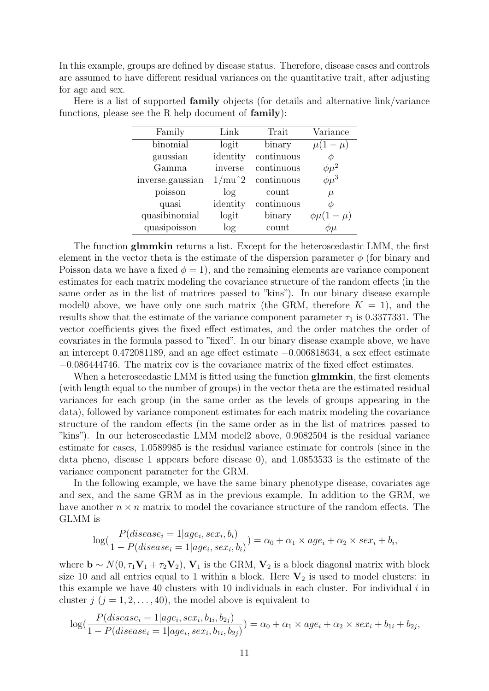In this example, groups are defined by disease status. Therefore, disease cases and controls are assumed to have different residual variances on the quantitative trait, after adjusting for age and sex.

| Family           | Link     | Trait      | Variance         |
|------------------|----------|------------|------------------|
| binomial         | logit    | binary     | $\mu(1-\mu)$     |
| gaussian         | identity | continuous |                  |
| Gamma            | inverse  | continuous | $\phi\mu^2$      |
| inverse.gaussian | $1/mu^2$ | continuous | $\phi\mu^3$      |
| poisson          | log      | count      | $\mu$            |
| quasi            | identity | continuous |                  |
| quasibinomial    | logit    | binary     | $\phi\mu(1-\mu)$ |
| quasipoisson     | $\log$   | count      | Φμ               |
|                  |          |            |                  |

Here is a list of supported family objects (for details and alternative link/variance functions, please see the R help document of family):

The function glmmkin returns a list. Except for the heteroscedastic LMM, the first element in the vector theta is the estimate of the dispersion parameter  $\phi$  (for binary and Poisson data we have a fixed  $\phi = 1$ , and the remaining elements are variance component estimates for each matrix modeling the covariance structure of the random effects (in the same order as in the list of matrices passed to "kins"). In our binary disease example model0 above, we have only one such matrix (the GRM, therefore  $K = 1$ ), and the results show that the estimate of the variance component parameter  $\tau_1$  is 0.3377331. The vector coefficients gives the fixed effect estimates, and the order matches the order of covariates in the formula passed to "fixed". In our binary disease example above, we have an intercept 0.472081189, and an age effect estimate −0.006818634, a sex effect estimate −0.086444746. The matrix cov is the covariance matrix of the fixed effect estimates.

When a heteroscedastic LMM is fitted using the function glmmkin, the first elements (with length equal to the number of groups) in the vector theta are the estimated residual variances for each group (in the same order as the levels of groups appearing in the data), followed by variance component estimates for each matrix modeling the covariance structure of the random effects (in the same order as in the list of matrices passed to "kins"). In our heteroscedastic LMM model2 above, 0.9082504 is the residual variance estimate for cases, 1.0589985 is the residual variance estimate for controls (since in the data pheno, disease 1 appears before disease 0), and 1.0853533 is the estimate of the variance component parameter for the GRM.

In the following example, we have the same binary phenotype disease, covariates age and sex, and the same GRM as in the previous example. In addition to the GRM, we have another  $n \times n$  matrix to model the covariance structure of the random effects. The GLMM is

$$
\log(\frac{P(disease_i = 1|age_i, sex_i, b_i)}{1 - P(disease_i = 1|age_i, sex_i, b_i)}) = \alpha_0 + \alpha_1 \times age_i + \alpha_2 \times sex_i + b_i,
$$

where  $\mathbf{b} \sim N(0, \tau_1 \mathbf{V}_1 + \tau_2 \mathbf{V}_2)$ ,  $\mathbf{V}_1$  is the GRM,  $\mathbf{V}_2$  is a block diagonal matrix with block size 10 and all entries equal to 1 within a block. Here  $V_2$  is used to model clusters: in this example we have 40 clusters with 10 individuals in each cluster. For individual  $i$  in cluster  $j$   $(j = 1, 2, \ldots, 40)$ , the model above is equivalent to

$$
\log(\frac{P(disease_i = 1|age_i, sex_i, b_{1i}, b_{2j})}{1 - P(disease_i = 1|age_i, sex_i, b_{1i}, b_{2j})}) = \alpha_0 + \alpha_1 \times age_i + \alpha_2 \times sex_i + b_{1i} + b_{2j},
$$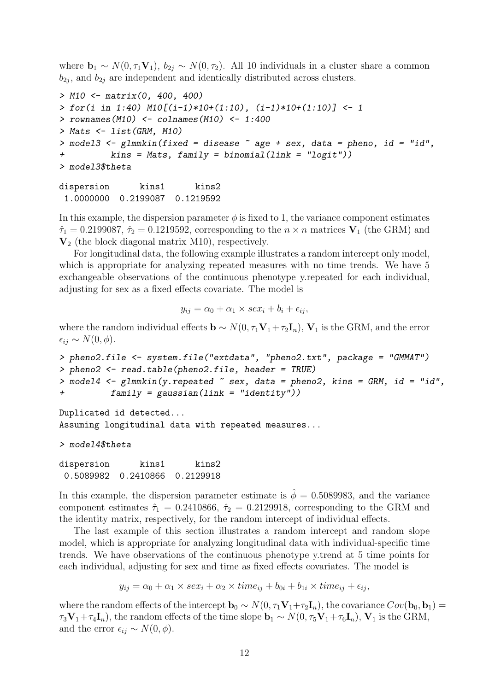where  $\mathbf{b}_1 \sim N(0, \tau_1 \mathbf{V}_1), b_{2j} \sim N(0, \tau_2)$ . All 10 individuals in a cluster share a common  $b_{2j}$ , and  $b_{2j}$  are independent and identically distributed across clusters.

```
> M10 <- matrix(0, 400, 400)
> for(i in 1:40) M10[(i-1)*10+(1:10), (i-1)*10+(1:10)] <- 1
> rownames(M10) <- colnames(M10) <- 1:400
> Mats \leq list (GRM, M10)
> model3 <- \text{plmmkin}(fixed = disease \tilde{ } age + sex, data = pheno, id = "id",
          kins = Mats, family = binomial(link = "logit"))> model3$theta
```
dispersion kins1 kins2 1.0000000 0.2199087 0.1219592

In this example, the dispersion parameter  $\phi$  is fixed to 1, the variance component estimates  $\hat{\tau}_1 = 0.2199087$ ,  $\hat{\tau}_2 = 0.1219592$ , corresponding to the  $n \times n$  matrices  $V_1$  (the GRM) and  $V<sub>2</sub>$  (the block diagonal matrix M10), respectively.

For longitudinal data, the following example illustrates a random intercept only model, which is appropriate for analyzing repeated measures with no time trends. We have 5 exchangeable observations of the continuous phenotype y.repeated for each individual, adjusting for sex as a fixed effects covariate. The model is

$$
y_{ij} = \alpha_0 + \alpha_1 \times \text{sex}_i + b_i + \epsilon_{ij},
$$

where the random individual effects  $\mathbf{b} \sim N(0, \tau_1 \mathbf{V}_1 + \tau_2 \mathbf{I}_n)$ ,  $\mathbf{V}_1$  is the GRM, and the error  $\epsilon_{ij} \sim N(0, \phi)$ .

```
> pheno2.file <- system.file("extdata", "pheno2.txt", package = "GMMAT")
> pheno2 <- read.table(pheno2.file, header = TRUE)
> model4 <- glmmkin(y, repeated \tilde{\ } sex, data = pheno2, kins = GRM, id = "id",+ family = gaussian(link = "identity"))
```
Duplicated id detected... Assuming longitudinal data with repeated measures...

```
> model4$theta
```
dispersion kins1 kins2 0.5089982 0.2410866 0.2129918

In this example, the dispersion parameter estimate is  $\dot{\phi} = 0.5089983$ , and the variance component estimates  $\hat{\tau}_1 = 0.2410866$ ,  $\hat{\tau}_2 = 0.2129918$ , corresponding to the GRM and the identity matrix, respectively, for the random intercept of individual effects.

The last example of this section illustrates a random intercept and random slope model, which is appropriate for analyzing longitudinal data with individual-specific time trends. We have observations of the continuous phenotype y.trend at 5 time points for each individual, adjusting for sex and time as fixed effects covariates. The model is

 $y_{ij} = \alpha_0 + \alpha_1 \times \text{sex}_i + \alpha_2 \times \text{time}_{ij} + b_{0i} + b_{1i} \times \text{time}_{ij} + \epsilon_{ij}$ 

where the random effects of the intercept  $\mathbf{b}_0 \sim N(0, \tau_1 \mathbf{V}_1 + \tau_2 \mathbf{I}_n)$ , the covariance  $Cov(\mathbf{b}_0, \mathbf{b}_1) =$  $\tau_3\mathbf{V}_1+\tau_4\mathbf{I}_n$ , the random effects of the time slope  $\mathbf{b}_1 \sim N(0, \tau_5\mathbf{V}_1+\tau_6\mathbf{I}_n)$ ,  $\mathbf{V}_1$  is the GRM, and the error  $\epsilon_{ij} \sim N(0, \phi)$ .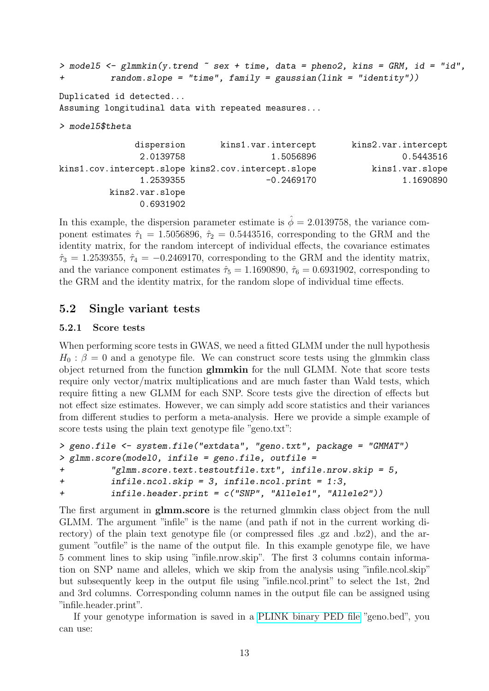```
> model5 <- glmmkin(y.trend ~ sex + time, data = pheno2, kins = GRM, id = "id",+ random.slope = "time", family = gaussian(link = "identity"))
```
Duplicated id detected...

Assuming longitudinal data with repeated measures...

```
> model5$theta
```

| dispersion      | kins1.var.intercept                                 | kins2.var.intercept |
|-----------------|-----------------------------------------------------|---------------------|
| 2.0139758       | 1.5056896                                           | 0.5443516           |
|                 | kins1.cov.intercept.slope kins2.cov.intercept.slope | kins1.var.slope     |
| 1.2539355       | $-0.2469170$                                        | 1.1690890           |
| kins2.var.slope |                                                     |                     |
| 0.6931902       |                                                     |                     |

In this example, the dispersion parameter estimate is  $\hat{\phi} = 2.0139758$ , the variance component estimates  $\hat{\tau}_1 = 1.5056896$ ,  $\hat{\tau}_2 = 0.5443516$ , corresponding to the GRM and the identity matrix, for the random intercept of individual effects, the covariance estimates  $\hat{\tau}_3 = 1.2539355, \hat{\tau}_4 = -0.2469170$ , corresponding to the GRM and the identity matrix, and the variance component estimates  $\hat{\tau}_5 = 1.1690890$ ,  $\hat{\tau}_6 = 0.6931902$ , corresponding to the GRM and the identity matrix, for the random slope of individual time effects.

#### <span id="page-12-0"></span>5.2 Single variant tests

#### <span id="page-12-1"></span>5.2.1 Score tests

When performing score tests in GWAS, we need a fitted GLMM under the null hypothesis  $H_0$ :  $\beta = 0$  and a genotype file. We can construct score tests using the glmmkin class object returned from the function glmmkin for the null GLMM. Note that score tests require only vector/matrix multiplications and are much faster than Wald tests, which require fitting a new GLMM for each SNP. Score tests give the direction of effects but not effect size estimates. However, we can simply add score statistics and their variances from different studies to perform a meta-analysis. Here we provide a simple example of score tests using the plain text genotype file "geno.txt":

```
> geno.file <- system.file("extdata", "geno.txt", package = "GMMAT")
> glmm.score(model0, infile = geno.file, outfile =
         "glmm.score.text.testoutfile.txt", infile.nrow.skip = 5,+ infile.ncol.skip = 3, infile.ncol.print = 1:3,
+ infile.header.print = c("SNP", "Allele1", "Allele2"))
```
The first argument in **glmm.score** is the returned glmmkin class object from the null GLMM. The argument "infile" is the name (and path if not in the current working directory) of the plain text genotype file (or compressed files .gz and .bz2), and the argument "outfile" is the name of the output file. In this example genotype file, we have 5 comment lines to skip using "infile.nrow.skip". The first 3 columns contain information on SNP name and alleles, which we skip from the analysis using "infile.ncol.skip" but subsequently keep in the output file using "infile.ncol.print" to select the 1st, 2nd and 3rd columns. Corresponding column names in the output file can be assigned using "infile.header.print".

If your genotype information is saved in a [PLINK binary PED file](http://zzz.bwh.harvard.edu/plink/data.shtml#bed) "geno.bed", you can use: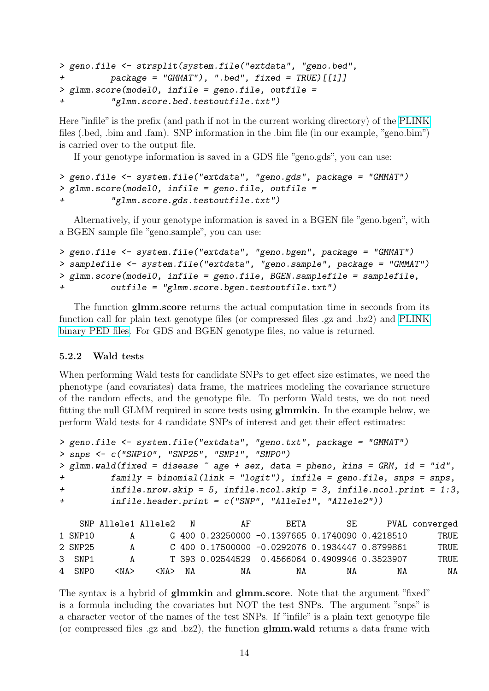```
> geno.file <- strsplit(system.file("extdata", "geno.bed",
+ package = "GMMAT"), ".bed", fixed = TRUE)[[1]]
> glmm.score(model0, infile = geno.file, outfile =
         "glmm.score.bed.testoutfile.txt")
```
Here "infile" is the prefix (and path if not in the current working directory) of the [PLINK](http://zzz.bwh.harvard.edu/plink/data.shtml#bed) files (.bed, .bim and .fam). SNP information in the .bim file (in our example, "geno.bim") is carried over to the output file.

If your genotype information is saved in a GDS file "geno.gds", you can use:

```
> geno.file <- system.file("extdata", "geno.gds", package = "GMMAT")
> glmm.score(model0, infile = geno.file, outfile =
          "glmm.score.gds.testoutfile.txt")
```
Alternatively, if your genotype information is saved in a BGEN file "geno.bgen", with a BGEN sample file "geno.sample", you can use:

```
> geno.file <- system.file("extdata", "geno.bgen", package = "GMMAT")
> samplefile <- system.file("extdata", "geno.sample", package = "GMMAT")
> glmm.score(model0, infile = geno.file, BGEN.samplefile = samplefile,
+ outfile = "glmm.score.bgen.testoutfile.txt")
```
The function glmm.score returns the actual computation time in seconds from its function call for plain text genotype files (or compressed files .gz and .bz2) and [PLINK](http://zzz.bwh.harvard.edu/plink/data.shtml#bed) [binary PED files.](http://zzz.bwh.harvard.edu/plink/data.shtml#bed) For GDS and BGEN genotype files, no value is returned.

#### <span id="page-13-0"></span>5.2.2 Wald tests

When performing Wald tests for candidate SNPs to get effect size estimates, we need the phenotype (and covariates) data frame, the matrices modeling the covariance structure of the random effects, and the genotype file. To perform Wald tests, we do not need fitting the null GLMM required in score tests using glmmkin. In the example below, we perform Wald tests for 4 candidate SNPs of interest and get their effect estimates:

```
> geno.file <- system.file("extdata", "geno.txt", package = "GMMAT")
> snps <- c("SNP10", "SNP25", "SNP1", "SNP0")
> glmm.wald(fixed = disease \sim age + sex, data = pheno, kins = GRM, id = "id",
+ family = binomial(link = "logit"), infile = geno.file, snps = snps,
+ infile.nrow.skip = 5, infile.ncol.skip = 3, infile.ncol.print = 1:3,
+ infile.header.print = c("SNP", "Allele1", "Allele2"))
   SNP Allele1 Allele2 N AF BETA SE PVAL converged
1 SNP10 A G 400 0.23250000 -0.1397665 0.1740090 0.4218510 TRUE
2 SNP25 A C 400 0.17500000 -0.0292076 0.1934447 0.8799861 TRUE
3 SNP1 A T 393 0.02544529 0.4566064 0.4909946 0.3523907 TRUE
```
4 SNP0 <NA> <NA> NA NA NA NA NA NA

The syntax is a hybrid of **glmmkin** and **glmm.score**. Note that the argument "fixed" is a formula including the covariates but NOT the test SNPs. The argument "snps" is a character vector of the names of the test SNPs. If "infile" is a plain text genotype file (or compressed files .gz and .bz2), the function glmm.wald returns a data frame with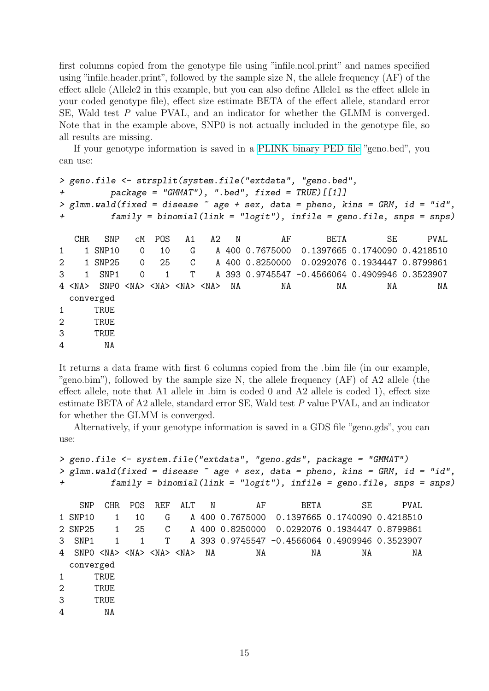first columns copied from the genotype file using "infile.ncol.print" and names specified using "infile.header.print", followed by the sample size N, the allele frequency (AF) of the effect allele (Allele2 in this example, but you can also define Allele1 as the effect allele in your coded genotype file), effect size estimate BETA of the effect allele, standard error SE, Wald test P value PVAL, and an indicator for whether the GLMM is converged. Note that in the example above, SNP0 is not actually included in the genotype file, so all results are missing.

If your genotype information is saved in a [PLINK binary PED file](http://zzz.bwh.harvard.edu/plink/data.shtml#bed) "geno.bed", you can use:

```
> geno.file <- strsplit(system.file("extdata", "geno.bed",
        package = "GMMAT"), ".bed", fixed = TRUE) [[1]]
> glmm.wald(fixed = disease \sim age + sex, data = pheno, kins = GRM, id = "id",
+ family = binomial(link = "logit"), infile = geno.file, snps = snps)
  CHR SNP CM POS A1 A2 N AF BETA SE PVAL
1 1 SNP10 0 10 G A 400 0.7675000 0.1397665 0.1740090 0.4218510
2 1 SNP25 0 25 C A 400 0.8250000 0.0292076 0.1934447 0.8799861
3 1 SNP1 0 1 T A 393 0.9745547 -0.4566064 0.4909946 0.3523907
4 <NA> SNP0 <NA> <NA> <NA> <NA> NA NA NA NA NA
 converged
1 TRUE
2 TRUE
3 TRUE
4 NA
```
It returns a data frame with first 6 columns copied from the .bim file (in our example, "geno.bim"), followed by the sample size N, the allele frequency (AF) of A2 allele (the effect allele, note that A1 allele in .bim is coded 0 and A2 allele is coded 1), effect size estimate BETA of A2 allele, standard error SE, Wald test P value PVAL, and an indicator for whether the GLMM is converged.

Alternatively, if your genotype information is saved in a GDS file "geno.gds", you can use:

```
> geno.file <- system.file("extdata", "geno.gds", package = "GMMAT")
> glmm.wald(fixed = disease \tilde{ } age + sex, data = pheno, kins = GRM, id = "id",
+ family = binomial(link = "logit"), infile = geno.file, snps = snps)
   SNP CHR POS REF ALT N AF BETA SE PVAL
1 SNP10 1 10 G A 400 0.7675000 0.1397665 0.1740090 0.4218510
2 SNP25 1 25 C A 400 0.8250000 0.0292076 0.1934447 0.8799861
3 SNP1 1 1 T A 393 0.9745547 -0.4566064 0.4909946 0.3523907
  4 SNP0 <NA> <NA> <NA> <NA> NA NA NA NA NA
 converged
1 TRUE
2 TRUE
3 TRUE
4 NA
```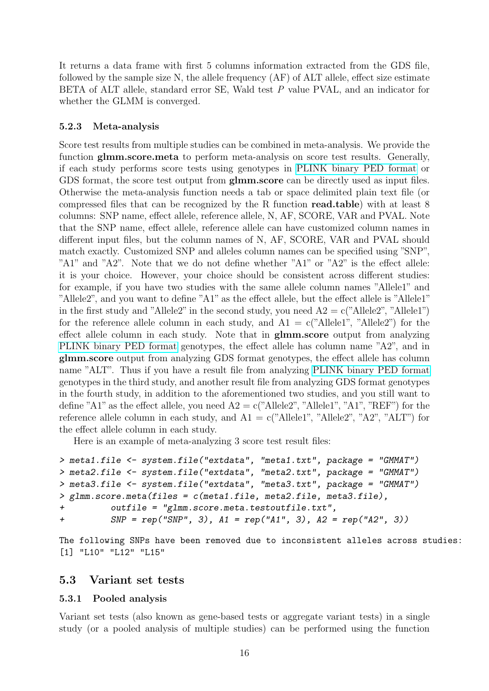It returns a data frame with first 5 columns information extracted from the GDS file, followed by the sample size N, the allele frequency (AF) of ALT allele, effect size estimate BETA of ALT allele, standard error SE, Wald test P value PVAL, and an indicator for whether the GLMM is converged.

#### <span id="page-15-0"></span>5.2.3 Meta-analysis

Score test results from multiple studies can be combined in meta-analysis. We provide the function glmm.score.meta to perform meta-analysis on score test results. Generally, if each study performs score tests using genotypes in [PLINK binary PED format](http://zzz.bwh.harvard.edu/plink/data.shtml#bed) or GDS format, the score test output from **glmm.score** can be directly used as input files. Otherwise the meta-analysis function needs a tab or space delimited plain text file (or compressed files that can be recognized by the R function read.table) with at least 8 columns: SNP name, effect allele, reference allele, N, AF, SCORE, VAR and PVAL. Note that the SNP name, effect allele, reference allele can have customized column names in different input files, but the column names of N, AF, SCORE, VAR and PVAL should match exactly. Customized SNP and alleles column names can be specified using "SNP", "A1" and "A2". Note that we do not define whether "A1" or "A2" is the effect allele: it is your choice. However, your choice should be consistent across different studies: for example, if you have two studies with the same allele column names "Allele1" and "Allele2", and you want to define "A1" as the effect allele, but the effect allele is "Allele1" in the first study and "Allele2" in the second study, you need  $A2 = c("Allele2", "Allele1")$ for the reference allele column in each study, and  $A1 = c$  ("Allele1", "Allele2") for the effect allele column in each study. Note that in glmm.score output from analyzing [PLINK binary PED format](http://zzz.bwh.harvard.edu/plink/data.shtml#bed) genotypes, the effect allele has column name "A2", and in glmm.score output from analyzing GDS format genotypes, the effect allele has column name "ALT". Thus if you have a result file from analyzing [PLINK binary PED format](http://zzz.bwh.harvard.edu/plink/data.shtml#bed) genotypes in the third study, and another result file from analyzing GDS format genotypes in the fourth study, in addition to the aforementioned two studies, and you still want to define "A1" as the effect allele, you need  $A2 = c$  ("Allele2", "Allele1", "A1", "REF") for the reference allele column in each study, and  $A1 = c$  "Allele1", "Allele2", "A2", "ALT") for the effect allele column in each study.

Here is an example of meta-analyzing 3 score test result files:

```
> meta1.file <- system.file("extdata", "meta1.txt", package = "GMMAT")
> meta2.file <- system.file("extdata", "meta2.txt", package = "GMMAT")
> meta3.file <- system.file("extdata", "meta3.txt", package = "GMMAT")
> glmm.score.meta(files = c(meta1.file, meta2.file, meta3.file),
+ outfile = "glmm.score.meta.testoutfile.txt",
+ SNP = rep("SNP", 3), A1 = rep("A1", 3), A2 = rep("A2", 3))
```
The following SNPs have been removed due to inconsistent alleles across studies: [1] "L10" "L12" "L15"

#### <span id="page-15-1"></span>5.3 Variant set tests

#### <span id="page-15-2"></span>5.3.1 Pooled analysis

Variant set tests (also known as gene-based tests or aggregate variant tests) in a single study (or a pooled analysis of multiple studies) can be performed using the function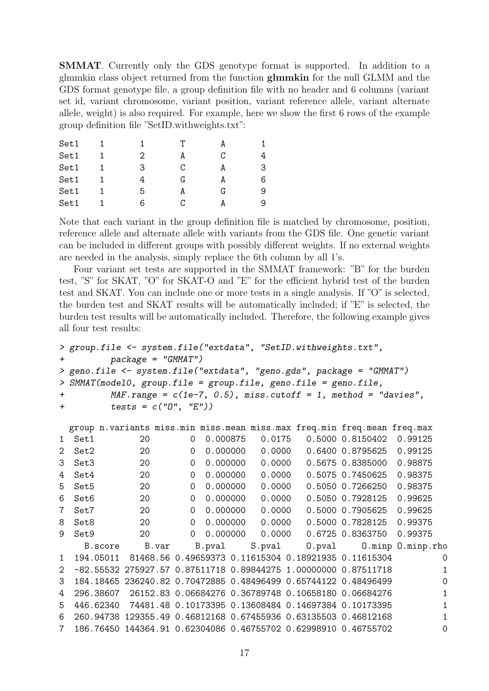SMMAT. Currently only the GDS genotype format is supported. In addition to a glmmkin class object returned from the function glmmkin for the null GLMM and the GDS format genotype file, a group definition file with no header and 6 columns (variant set id, variant chromosome, variant position, variant reference allele, variant alternate allele, weight) is also required. For example, here we show the first 6 rows of the example group definition file "SetID.withweights.txt":

| Set1 |   | т |   |   |
|------|---|---|---|---|
| Set1 | 2 | А | C |   |
| Set1 | З | C | A | 3 |
| Set1 |   | G | А | 6 |
| Set1 | 5 | А | G | 9 |
| Set1 | 6 | C |   | 9 |

Note that each variant in the group definition file is matched by chromosome, position, reference allele and alternate allele with variants from the GDS file. One genetic variant can be included in different groups with possibly different weights. If no external weights are needed in the analysis, simply replace the 6th column by all 1's.

Four variant set tests are supported in the SMMAT framework: "B" for the burden test, "S" for SKAT, "O" for SKAT-O and "E" for the efficient hybrid test of the burden test and SKAT. You can include one or more tests in a single analysis. If "O" is selected, the burden test and SKAT results will be automatically included; if "E" is selected, the burden test results will be automatically included. Therefore, the following example gives all four test results:

```
> group.file <- system.file("extdata", "SetID.withweights.txt",
+ package = "GMMAT")
> geno.file <- system.file("extdata", "geno.gds", package = "GMMAT")
> SMMAT(model0, group.file = group.file, geno.file = geno.file,
+ MAF.range = c(1e-7, 0.5), miss.cutoff = 1, method = "davies",
+ tests = c("O", "E"))
```

|                |           |         |    |       |             |        |          |        | group n. variants miss.min miss.mean miss.max freq.min freq.mean freq.max |                  |                   |   |
|----------------|-----------|---------|----|-------|-------------|--------|----------|--------|---------------------------------------------------------------------------|------------------|-------------------|---|
| 1.             | Set1      |         | 20 |       | $\Omega$    |        | 0.000875 | 0.0175 |                                                                           | 0.5000 0.8150402 | 0.99125           |   |
| 2              | Set2      |         | 20 |       | $\Omega$    |        | 0.000000 | 0.0000 |                                                                           | 0.6400 0.8795625 | 0.99125           |   |
| 3              | Set3      |         | 20 |       | $\Omega$    |        | 0.000000 | 0.0000 |                                                                           | 0.5675 0.8385000 | 0.98875           |   |
| 4              | Set4      |         | 20 |       | $\Omega$    |        | 0.000000 | 0.0000 |                                                                           | 0.5075 0.7450625 | 0.98375           |   |
| 5              | Set5      |         | 20 |       | $\Omega$    |        | 0.000000 | 0.0000 |                                                                           | 0.5050 0.7266250 | 0.98375           |   |
| 6              | Set6      |         | 20 |       | $\Omega$    |        | 0.000000 | 0.0000 |                                                                           | 0.5050 0.7928125 | 0.99625           |   |
| 7              | Set7      |         | 20 |       | $\Omega$    |        | 0.000000 | 0.0000 |                                                                           | 0.5000 0.7905625 | 0.99625           |   |
| 8              | Set8      |         | 20 |       | $\Omega$    |        | 0.000000 | 0.0000 |                                                                           | 0.5000 0.7828125 | 0.99375           |   |
| 9              | Set9      |         | 20 |       | $\mathbf 0$ |        | 0.000000 | 0.0000 |                                                                           | 0.6725 0.8363750 | 0.99375           |   |
|                |           | B.score |    | B.var |             | B.pval |          | S.pval | $0.$ $pval$                                                               |                  | 0.minp 0.minp.rho |   |
| $\mathbf{1}$   | 194.05011 |         |    |       |             |        |          |        | 81468.56 0.49659373 0.11615304 0.18921935 0.11615304                      |                  |                   | 0 |
| $\overline{2}$ |           |         |    |       |             |        |          |        | -82.55532 275927.57 0.87511718 0.89844275 1.00000000 0.87511718           |                  |                   | 1 |
| 3              |           |         |    |       |             |        |          |        | 184.18465 236240.82 0.70472885 0.48496499 0.65744122 0.48496499           |                  |                   | 0 |
| 4              | 296.38607 |         |    |       |             |        |          |        | 26152.83 0.06684276 0.36789748 0.10658180 0.06684276                      |                  |                   | 1 |
| 5              | 446.62340 |         |    |       |             |        |          |        | 74481.48 0.10173395 0.13608484 0.14697384 0.10173395                      |                  |                   |   |
| 6              | 260.94738 |         |    |       |             |        |          |        | 129355.49  0.46812168  0.67455936  0.63135503  0.46812168                 |                  |                   |   |
| $\overline{7}$ |           |         |    |       |             |        |          |        | 186.76450 144364.91 0.62304086 0.46755702 0.62998910 0.46755702           |                  |                   |   |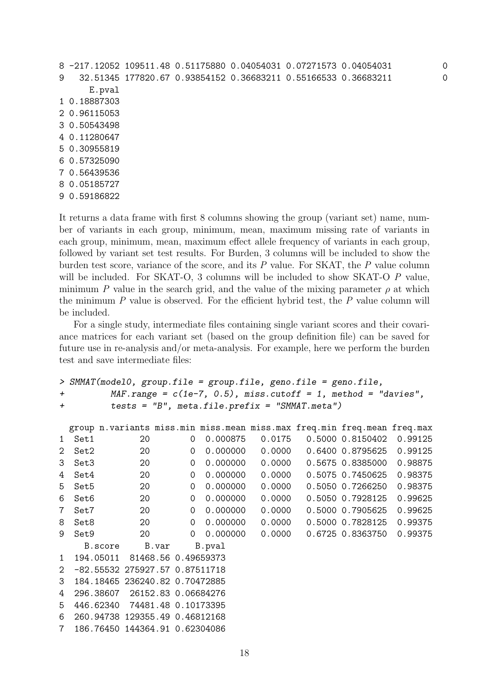```
8 -217.12052 109511.48 0.51175880 0.04054031 0.07271573 0.04054031 0
9 32.51345 177820.67 0.93854152 0.36683211 0.55166533 0.36683211 0
     E.pval
1 0.18887303
2 0.96115053
3 0.50543498
4 0.11280647
5 0.30955819
6 0.57325090
7 0.56439536
8 0.05185727
9 0.59186822
```
It returns a data frame with first 8 columns showing the group (variant set) name, number of variants in each group, minimum, mean, maximum missing rate of variants in each group, minimum, mean, maximum effect allele frequency of variants in each group, followed by variant set test results. For Burden, 3 columns will be included to show the burden test score, variance of the score, and its  $P$  value. For SKAT, the  $P$  value column will be included. For SKAT-O, 3 columns will be included to show SKAT-O P value, minimum P value in the search grid, and the value of the mixing parameter  $\rho$  at which the minimum  $P$  value is observed. For the efficient hybrid test, the  $P$  value column will be included.

For a single study, intermediate files containing single variant scores and their covariance matrices for each variant set (based on the group definition file) can be saved for future use in re-analysis and/or meta-analysis. For example, here we perform the burden test and save intermediate files:

```
> SMMAT(model0, group.file = group.file, geno.file = geno.file,
+ MAF.range = c(1e-7, 0.5), miss.cutoff = 1, method = "davies",
+ tests = "B", meta.file.prefix = "SMMAT.meta")
 group n.variants miss.min miss.mean miss.max freq.min freq.mean freq.max
1 Set1 20 0 0.000875 0.0175 0.5000 0.8150402 0.99125
2 Set2 20 0 0.000000 0.0000 0.6400 0.8795625 0.99125
3 Set3 20 0 0.000000 0.0000 0.5675 0.8385000 0.98875
4 Set4 20 0 0.000000 0.0000 0.5075 0.7450625 0.98375
5 Set5 20 0 0.000000 0.0000 0.5050 0.7266250 0.98375
6 Set6 20 0 0.000000 0.0000 0.5050 0.7928125 0.99625
7 Set7 20 0 0.000000 0.0000 0.5000 0.7905625 0.99625
8 Set8 20 0 0.000000 0.0000 0.5000 0.7828125 0.99375
9 Set9 20 0 0.000000 0.0000 0.6725 0.8363750 0.99375
    B.score B.var B.pval
1 194.05011 81468.56 0.49659373
2 -82.55532 275927.57 0.87511718
3 184.18465 236240.82 0.70472885
4 296.38607 26152.83 0.06684276
5 446.62340 74481.48 0.10173395
6 260.94738 129355.49 0.46812168
7 186.76450 144364.91 0.62304086
```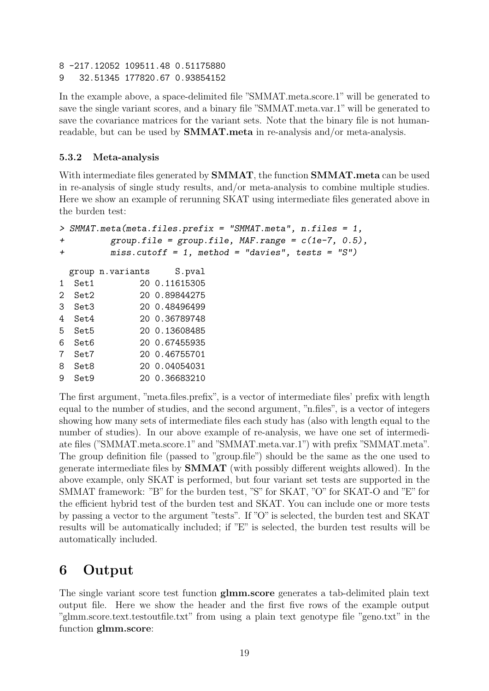- 8 -217.12052 109511.48 0.51175880
- 9 32.51345 177820.67 0.93854152

In the example above, a space-delimited file "SMMAT.meta.score.1" will be generated to save the single variant scores, and a binary file "SMMAT.meta.var.1" will be generated to save the covariance matrices for the variant sets. Note that the binary file is not humanreadable, but can be used by SMMAT.meta in re-analysis and/or meta-analysis.

#### <span id="page-18-0"></span>5.3.2 Meta-analysis

With intermediate files generated by **SMMAT**, the function **SMMAT**.meta can be used in re-analysis of single study results, and/or meta-analysis to combine multiple studies. Here we show an example of rerunning SKAT using intermediate files generated above in the burden test:

```
> SMMAT.meta(meta.files.prefix = "SMMAT.meta", n.files = 1,
+ group.file = group.file, MAF.range = c(1e-7, 0.5),
+ miss.cutoff = 1, method = "davies", tests = "S")
 group n.variants S.pval
1 Set1 20 0.11615305
2 Set2 20 0.89844275
3 Set3 20 0.48496499
4 Set4 20 0.36789748
5 Set5 20 0.13608485
6 Set6 20 0.67455935
7 Set7 20 0.46755701
8 Set8 20 0.04054031
9 Set9 20 0.36683210
```
The first argument, "meta.files.prefix", is a vector of intermediate files' prefix with length equal to the number of studies, and the second argument, "n.files", is a vector of integers showing how many sets of intermediate files each study has (also with length equal to the number of studies). In our above example of re-analysis, we have one set of intermediate files ("SMMAT.meta.score.1" and "SMMAT.meta.var.1") with prefix "SMMAT.meta". The group definition file (passed to "group.file") should be the same as the one used to generate intermediate files by SMMAT (with possibly different weights allowed). In the above example, only SKAT is performed, but four variant set tests are supported in the SMMAT framework: "B" for the burden test, "S" for SKAT, "O" for SKAT-O and "E" for the efficient hybrid test of the burden test and SKAT. You can include one or more tests by passing a vector to the argument "tests". If "O" is selected, the burden test and SKAT results will be automatically included; if "E" is selected, the burden test results will be automatically included.

# <span id="page-18-1"></span>6 Output

The single variant score test function glmm.score generates a tab-delimited plain text output file. Here we show the header and the first five rows of the example output "glmm.score.text.testoutfile.txt" from using a plain text genotype file "geno.txt" in the function glmm.score: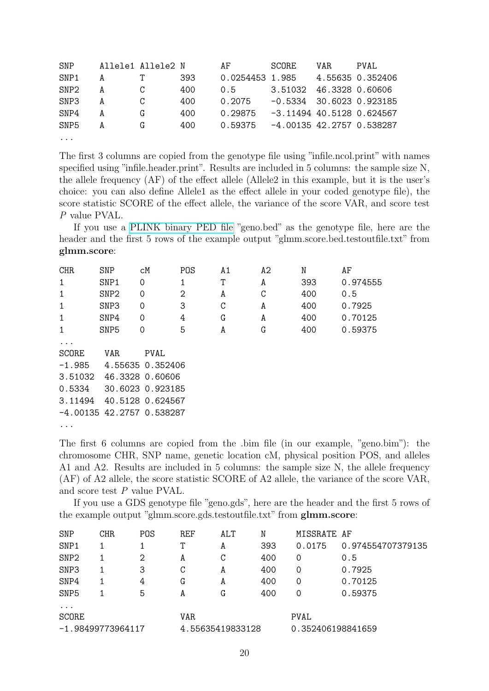| SNP              |   | Allele1 Allele2 N |     | AF              | SCORE                      | VAR. | PVAL.            |
|------------------|---|-------------------|-----|-----------------|----------------------------|------|------------------|
| SNP1             | А |                   | 393 | 0.0254453 1.985 |                            |      | 4.55635 0.352406 |
| SNP <sub>2</sub> | А |                   | 400 | 0.5             | 3.51032                    |      | 46.3328 0.60606  |
| SNP <sub>3</sub> | А |                   | 400 | 0.2075          | $-0.5334$ 30.6023 0.923185 |      |                  |
| SNP4             | А | G                 | 400 | 0.29875         | -3.11494 40.5128 0.624567  |      |                  |
| SNP <sub>5</sub> | A | G                 | 400 | 0.59375         | -4.00135 42.2757 0.538287  |      |                  |
| $\cdots$         |   |                   |     |                 |                            |      |                  |

The first 3 columns are copied from the genotype file using "infile.ncol.print" with names specified using "infile.header.print". Results are included in 5 columns: the sample size N, the allele frequency (AF) of the effect allele (Allele2 in this example, but it is the user's choice: you can also define Allele1 as the effect allele in your coded genotype file), the score statistic SCORE of the effect allele, the variance of the score VAR, and score test P value PVAL.

If you use a [PLINK binary PED file](http://zzz.bwh.harvard.edu/plink/data.shtml#bed) "geno.bed" as the genotype file, here are the header and the first 5 rows of the example output "glmm.score.bed.testoutfile.txt" from glmm.score:

| <b>CHR</b>   | <b>SNP</b>                  | cM               | POS            | A1 | A2 | N   | AF       |
|--------------|-----------------------------|------------------|----------------|----|----|-----|----------|
| 1            | SNP1                        | 0                | 1              | Τ  | A  | 393 | 0.974555 |
| 1            | SNP <sub>2</sub>            | $\Omega$         | $\overline{2}$ | A  | C  | 400 | 0.5      |
| 1            | SNP3                        | $\Omega$         | 3              | C  | A  | 400 | 0.7925   |
| 1            | SNP4                        | $\Omega$         | 4              | G  | A  | 400 | 0.70125  |
| 1            | SNP <sub>5</sub>            | 0                | 5              | A  | G  | 400 | 0.59375  |
|              |                             |                  |                |    |    |     |          |
| <b>SCORE</b> | VAR                         | <b>PVAL</b>      |                |    |    |     |          |
| $-1.985$     |                             | 4.55635 0.352406 |                |    |    |     |          |
| 3.51032      |                             | 46.3328 0.60606  |                |    |    |     |          |
| 0.5334       |                             | 30.6023 0.923185 |                |    |    |     |          |
| 3.11494      |                             | 40.5128 0.624567 |                |    |    |     |          |
|              | $-4.00135$ 42.2757 0.538287 |                  |                |    |    |     |          |
|              |                             |                  |                |    |    |     |          |

...

The first 6 columns are copied from the .bim file (in our example, "geno.bim"): the chromosome CHR, SNP name, genetic location cM, physical position POS, and alleles A1 and A2. Results are included in 5 columns: the sample size N, the allele frequency (AF) of A2 allele, the score statistic SCORE of A2 allele, the variance of the score VAR, and score test P value PVAL.

If you use a GDS genotype file "geno.gds", here are the header and the first 5 rows of the example output "glmm.score.gds.testoutfile.txt" from glmm.score:

| SNP              | CHR.              | POS | REF | ALT              | N   | MISSRATE AF       |                   |
|------------------|-------------------|-----|-----|------------------|-----|-------------------|-------------------|
| SNP1             |                   |     | Τ   | A                | 393 | 0.0175            | 0.974554707379135 |
| SNP <sub>2</sub> |                   | 2   | A   | С                | 400 |                   | 0.5               |
| SNP3             |                   | 3   | C   | A                | 400 | 0                 | 0.7925            |
| SNP4             |                   | 4   | G   | A                | 400 | 0                 | 0.70125           |
| SNP <sub>5</sub> |                   | 5   | A   | G                | 400 | 0                 | 0.59375           |
| $\cdots$         |                   |     |     |                  |     |                   |                   |
| SCORE            |                   |     | VAR |                  |     | PVAL              |                   |
|                  | -1.98499773964117 |     |     | 4.55635419833128 |     | 0.352406198841659 |                   |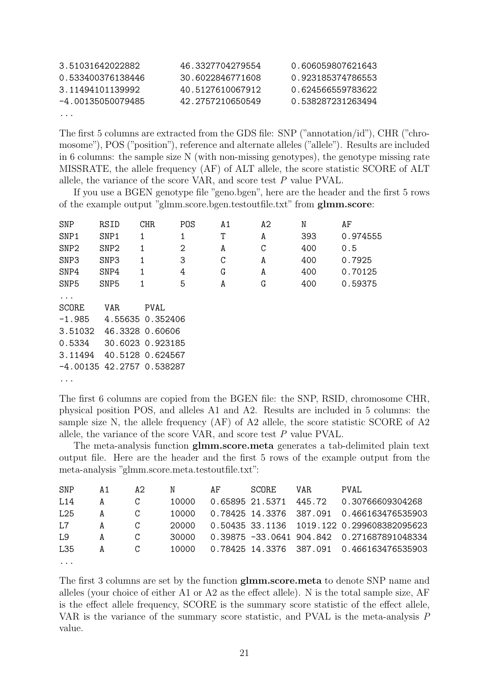| 3.51031642022882  | 46.3327704279554 | 0.606059807621643 |
|-------------------|------------------|-------------------|
| 0.533400376138446 | 30.6022846771608 | 0.923185374786553 |
| 3.11494101139992  | 40.5127610067912 | 0.624566559783622 |
| -4.00135050079485 | 42.2757210650549 | 0.538287231263494 |
| $\cdots$          |                  |                   |

The first 5 columns are extracted from the GDS file: SNP ("annotation/id"), CHR ("chromosome"), POS ("position"), reference and alternate alleles ("allele"). Results are included in 6 columns: the sample size N (with non-missing genotypes), the genotype missing rate MISSRATE, the allele frequency (AF) of ALT allele, the score statistic SCORE of ALT allele, the variance of the score VAR, and score test P value PVAL.

If you use a BGEN genotype file "geno.bgen", here are the header and the first 5 rows of the example output "glmm.score.bgen.testoutfile.txt" from glmm.score:

| <b>SNP</b>                  | RSID             | <b>CHR</b>       | POS            | A1 | A2 | N   | AF       |
|-----------------------------|------------------|------------------|----------------|----|----|-----|----------|
| SNP1                        | SNP1             | 1                | 1              | T  | A  | 393 | 0.974555 |
| SNP <sub>2</sub>            | SNP <sub>2</sub> | 1                | $\overline{2}$ | A  | C  | 400 | 0.5      |
| SNP3                        | SNP3             | 1                | 3              | C  | A  | 400 | 0.7925   |
| SNP4                        | SNP4             | 1                | 4              | G  | A  | 400 | 0.70125  |
| SNP <sub>5</sub>            | SNP <sub>5</sub> | 1                | 5              | A  | G  | 400 | 0.59375  |
| $\cdots$                    |                  |                  |                |    |    |     |          |
| <b>SCORE</b>                | VAR              | PVAL             |                |    |    |     |          |
| $-1.985$                    |                  | 4.55635 0.352406 |                |    |    |     |          |
| 3.51032                     |                  | 46.3328 0.60606  |                |    |    |     |          |
| 0.5334                      |                  | 30.6023 0.923185 |                |    |    |     |          |
| 3.11494                     |                  | 40.5128 0.624567 |                |    |    |     |          |
| $-4.00135$ 42.2757 0.538287 |                  |                  |                |    |    |     |          |

...

The first 6 columns are copied from the BGEN file: the SNP, RSID, chromosome CHR, physical position POS, and alleles A1 and A2. Results are included in 5 columns: the sample size N, the allele frequency (AF) of A2 allele, the score statistic SCORE of A2 allele, the variance of the score VAR, and score test P value PVAL.

The meta-analysis function glmm.score.meta generates a tab-delimited plain text output file. Here are the header and the first 5 rows of the example output from the meta-analysis "glmm.score.meta.testoutfile.txt":

| SNP             | A 1 | A2 | N     | AF | SCORE. | VAR. | PVAL.                                      |
|-----------------|-----|----|-------|----|--------|------|--------------------------------------------|
| L <sub>14</sub> | A   | C  | 10000 |    |        |      | 0.65895 21.5371 445.72 0.30766609304268    |
| L25             | A   | C  | 10000 |    |        |      | 0.78425 14.3376 387.091 0.466163476535903  |
| T.7             | A   | C  | 20000 |    |        |      | 0.50435 33.1136 1019.122 0.299608382095623 |
| L9              | A   | C  | 30000 |    |        |      | 0.39875 -33.0641 904.842 0.271687891048334 |
| L35             | A   |    | 10000 |    |        |      | 0.78425 14.3376 387.091 0.466163476535903  |
| $\cdots$        |     |    |       |    |        |      |                                            |

The first 3 columns are set by the function glmm.score.meta to denote SNP name and alleles (your choice of either A1 or A2 as the effect allele). N is the total sample size, AF is the effect allele frequency, SCORE is the summary score statistic of the effect allele, VAR is the variance of the summary score statistic, and PVAL is the meta-analysis P value.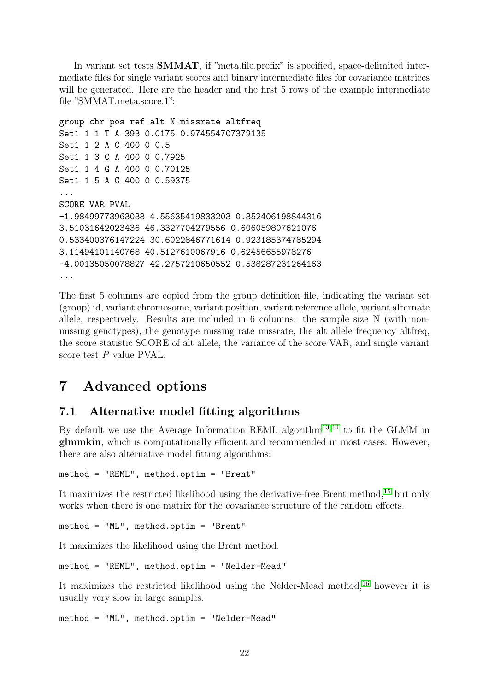In variant set tests SMMAT, if "meta.file.prefix" is specified, space-delimited intermediate files for single variant scores and binary intermediate files for covariance matrices will be generated. Here are the header and the first 5 rows of the example intermediate file "SMMAT.meta.score.1":

```
group chr pos ref alt N missrate altfreq
Set1 1 1 T A 393 0.0175 0.974554707379135
Set1 1 2 A C 400 0 0.5
Set1 1 3 C A 400 0 0.7925
Set1 1 4 G A 400 0 0.70125
Set1 1 5 A G 400 0 0.59375
...
SCORE VAR PVAL
-1.98499773963038 4.55635419833203 0.352406198844316
3.51031642023436 46.3327704279556 0.606059807621076
0.533400376147224 30.6022846771614 0.923185374785294
3.11494101140768 40.5127610067916 0.62456655978276
-4.00135050078827 42.2757210650552 0.538287231264163
...
```
The first 5 columns are copied from the group definition file, indicating the variant set (group) id, variant chromosome, variant position, variant reference allele, variant alternate allele, respectively. Results are included in 6 columns: the sample size N (with nonmissing genotypes), the genotype missing rate missrate, the alt allele frequency altfreq, the score statistic SCORE of alt allele, the variance of the score VAR, and single variant score test P value PVAL.

# <span id="page-21-0"></span>7 Advanced options

### <span id="page-21-1"></span>7.1 Alternative model fitting algorithms

By default we use the Average Information REML algorithm<sup>[13,](#page-32-0) [14](#page-32-1)</sup> to fit the GLMM in glmmkin, which is computationally efficient and recommended in most cases. However, there are also alternative model fitting algorithms:

```
method = "REML", method.optim = "Brent"
```
It maximizes the restricted likelihood using the derivative-free Brent method,<sup>[15](#page-32-2)</sup> but only works when there is one matrix for the covariance structure of the random effects.

method = "ML", method.optim = "Brent"

It maximizes the likelihood using the Brent method.

```
method = "REML", method.optim = "Nelder-Mead"
```
It maximizes the restricted likelihood using the Nelder-Mead method,<sup>[16](#page-32-3)</sup> however it is usually very slow in large samples.

method = "ML", method.optim = "Nelder-Mead"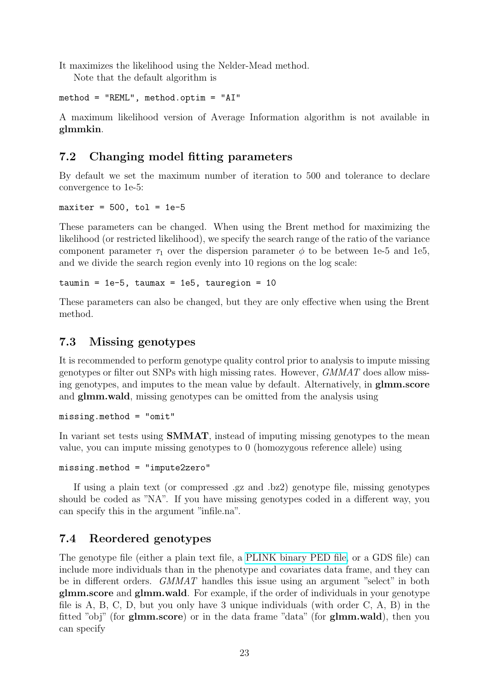It maximizes the likelihood using the Nelder-Mead method.

Note that the default algorithm is

```
method = "REML", method.optim = "AI"
```
A maximum likelihood version of Average Information algorithm is not available in glmmkin.

### <span id="page-22-0"></span>7.2 Changing model fitting parameters

By default we set the maximum number of iteration to 500 and tolerance to declare convergence to 1e-5:

maxiter =  $500$ , tol = 1e-5

These parameters can be changed. When using the Brent method for maximizing the likelihood (or restricted likelihood), we specify the search range of the ratio of the variance component parameter  $\tau_1$  over the dispersion parameter  $\phi$  to be between 1e-5 and 1e5, and we divide the search region evenly into 10 regions on the log scale:

```
taumin = 1e-5, taumax = 1e5, tauregion = 10
```
These parameters can also be changed, but they are only effective when using the Brent method.

### <span id="page-22-1"></span>7.3 Missing genotypes

It is recommended to perform genotype quality control prior to analysis to impute missing genotypes or filter out SNPs with high missing rates. However, GMMAT does allow missing genotypes, and imputes to the mean value by default. Alternatively, in glmm.score and glmm.wald, missing genotypes can be omitted from the analysis using

```
missing.method = "omit"
```
In variant set tests using SMMAT, instead of imputing missing genotypes to the mean value, you can impute missing genotypes to 0 (homozygous reference allele) using

```
missing.method = "impute2zero"
```
If using a plain text (or compressed .gz and .bz2) genotype file, missing genotypes should be coded as "NA". If you have missing genotypes coded in a different way, you can specify this in the argument "infile.na".

### <span id="page-22-2"></span>7.4 Reordered genotypes

The genotype file (either a plain text file, a [PLINK binary PED file,](http://zzz.bwh.harvard.edu/plink/data.shtml#bed) or a GDS file) can include more individuals than in the phenotype and covariates data frame, and they can be in different orders. GMMAT handles this issue using an argument "select" in both glmm.score and glmm.wald. For example, if the order of individuals in your genotype file is A, B, C, D, but you only have 3 unique individuals (with order C, A, B) in the fitted "obj" (for glmm.score) or in the data frame "data" (for glmm.wald), then you can specify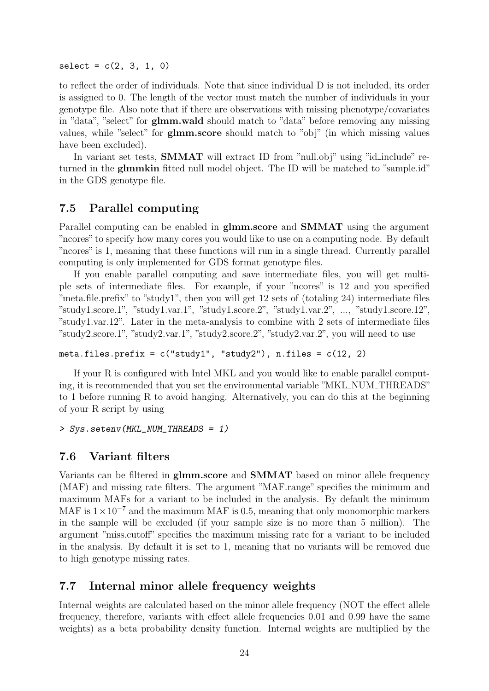$select = c(2, 3, 1, 0)$ 

to reflect the order of individuals. Note that since individual D is not included, its order is assigned to 0. The length of the vector must match the number of individuals in your genotype file. Also note that if there are observations with missing phenotype/covariates in "data", "select" for glmm.wald should match to "data" before removing any missing values, while "select" for glmm.score should match to "obj" (in which missing values have been excluded).

In variant set tests, **SMMAT** will extract ID from "null.obj" using "id\_include" returned in the glmmkin fitted null model object. The ID will be matched to "sample.id" in the GDS genotype file.

#### <span id="page-23-0"></span>7.5 Parallel computing

Parallel computing can be enabled in glmm.score and SMMAT using the argument "ncores" to specify how many cores you would like to use on a computing node. By default "ncores" is 1, meaning that these functions will run in a single thread. Currently parallel computing is only implemented for GDS format genotype files.

If you enable parallel computing and save intermediate files, you will get multiple sets of intermediate files. For example, if your "ncores" is 12 and you specified "meta.file.prefix" to "study1", then you will get 12 sets of (totaling 24) intermediate files "study1.score.1", "study1.var.1", "study1.score.2", "study1.var.2", ..., "study1.score.12", "study1.var.12". Later in the meta-analysis to combine with 2 sets of intermediate files "study2.score.1", "study2.var.1", "study2.score.2", "study2.var.2", you will need to use

```
meta.files.prefix = c("study1", "study2"), n.files = <math>c(12, 2)</math>
```
If your R is configured with Intel MKL and you would like to enable parallel computing, it is recommended that you set the environmental variable "MKL NUM THREADS" to 1 before running R to avoid hanging. Alternatively, you can do this at the beginning of your R script by using

> Sys.setenv(MKL\_NUM\_THREADS = 1)

#### <span id="page-23-1"></span>7.6 Variant filters

Variants can be filtered in glmm.score and SMMAT based on minor allele frequency (MAF) and missing rate filters. The argument "MAF.range" specifies the minimum and maximum MAFs for a variant to be included in the analysis. By default the minimum MAF is  $1 \times 10^{-7}$  and the maximum MAF is 0.5, meaning that only monomorphic markers in the sample will be excluded (if your sample size is no more than 5 million). The argument "miss.cutoff" specifies the maximum missing rate for a variant to be included in the analysis. By default it is set to 1, meaning that no variants will be removed due to high genotype missing rates.

### <span id="page-23-2"></span>7.7 Internal minor allele frequency weights

Internal weights are calculated based on the minor allele frequency (NOT the effect allele frequency, therefore, variants with effect allele frequencies 0.01 and 0.99 have the same weights) as a beta probability density function. Internal weights are multiplied by the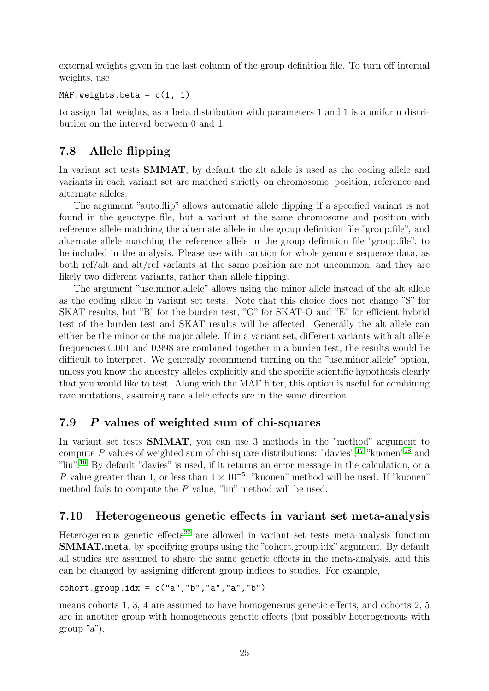external weights given in the last column of the group definition file. To turn off internal weights, use

```
MAF.weights.beta = c(1, 1)
```
to assign flat weights, as a beta distribution with parameters 1 and 1 is a uniform distribution on the interval between 0 and 1.

# <span id="page-24-0"></span>7.8 Allele flipping

In variant set tests **SMMAT**, by default the alt allele is used as the coding allele and variants in each variant set are matched strictly on chromosome, position, reference and alternate alleles.

The argument "auto.flip" allows automatic allele flipping if a specified variant is not found in the genotype file, but a variant at the same chromosome and position with reference allele matching the alternate allele in the group definition file "group.file", and alternate allele matching the reference allele in the group definition file "group.file", to be included in the analysis. Please use with caution for whole genome sequence data, as both ref/alt and alt/ref variants at the same position are not uncommon, and they are likely two different variants, rather than allele flipping.

The argument "use.minor.allele" allows using the minor allele instead of the alt allele as the coding allele in variant set tests. Note that this choice does not change "S" for SKAT results, but "B" for the burden test, "O" for SKAT-O and "E" for efficient hybrid test of the burden test and SKAT results will be affected. Generally the alt allele can either be the minor or the major allele. If in a variant set, different variants with alt allele frequencies 0.001 and 0.998 are combined together in a burden test, the results would be difficult to interpret. We generally recommend turning on the "use minor.allele" option, unless you know the ancestry alleles explicitly and the specific scientific hypothesis clearly that you would like to test. Along with the MAF filter, this option is useful for combining rare mutations, assuming rare allele effects are in the same direction.

### <span id="page-24-1"></span>7.9 P values of weighted sum of chi-squares

In variant set tests SMMAT, you can use 3 methods in the "method" argument to compute P values of weighted sum of chi-square distributions: "davies",  $17$  "kuonen"<sup>[18](#page-32-5)</sup> and "liu".[19](#page-32-6) By default "davies" is used, if it returns an error message in the calculation, or a P value greater than 1, or less than  $1 \times 10^{-5}$ , "kuonen" method will be used. If "kuonen" method fails to compute the P value, "liu" method will be used.

### <span id="page-24-2"></span>7.10 Heterogeneous genetic effects in variant set meta-analysis

Heterogeneous genetic effects<sup>[20](#page-32-7)</sup> are allowed in variant set tests meta-analysis function SMMAT.meta, by specifying groups using the "cohort.group.idx" argument. By default all studies are assumed to share the same genetic effects in the meta-analysis, and this can be changed by assigning different group indices to studies. For example,

#### cohort.group.id $x = c("a", "b", "a", "a", "b")$

means cohorts 1, 3, 4 are assumed to have homogeneous genetic effects, and cohorts 2, 5 are in another group with homogeneous genetic effects (but possibly heterogeneous with group "a").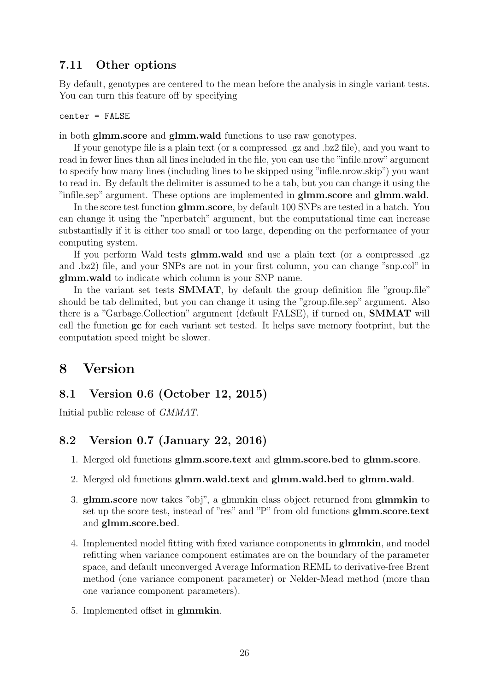### <span id="page-25-0"></span>7.11 Other options

By default, genotypes are centered to the mean before the analysis in single variant tests. You can turn this feature off by specifying

center = FALSE

in both glmm.score and glmm.wald functions to use raw genotypes.

If your genotype file is a plain text (or a compressed .gz and .bz2 file), and you want to read in fewer lines than all lines included in the file, you can use the "infile.nrow" argument to specify how many lines (including lines to be skipped using "infile.nrow.skip") you want to read in. By default the delimiter is assumed to be a tab, but you can change it using the "infile.sep" argument. These options are implemented in glmm.score and glmm.wald.

In the score test function glmm.score, by default 100 SNPs are tested in a batch. You can change it using the "nperbatch" argument, but the computational time can increase substantially if it is either too small or too large, depending on the performance of your computing system.

If you perform Wald tests glmm.wald and use a plain text (or a compressed .gz and .bz2) file, and your SNPs are not in your first column, you can change "snp.col" in glmm.wald to indicate which column is your SNP name.

In the variant set tests **SMMAT**, by default the group definition file "group.file" should be tab delimited, but you can change it using the "group.file.sep" argument. Also there is a "Garbage.Collection" argument (default FALSE), if turned on, SMMAT will call the function gc for each variant set tested. It helps save memory footprint, but the computation speed might be slower.

### <span id="page-25-1"></span>8 Version

#### <span id="page-25-2"></span>8.1 Version 0.6 (October 12, 2015)

Initial public release of GMMAT.

### <span id="page-25-3"></span>8.2 Version 0.7 (January 22, 2016)

- 1. Merged old functions glmm.score.text and glmm.score.bed to glmm.score.
- 2. Merged old functions glmm.wald.text and glmm.wald.bed to glmm.wald.
- 3. glmm.score now takes "obj", a glmmkin class object returned from glmmkin to set up the score test, instead of "res" and "P" from old functions glmm.score.text and glmm.score.bed.
- 4. Implemented model fitting with fixed variance components in glmmkin, and model refitting when variance component estimates are on the boundary of the parameter space, and default unconverged Average Information REML to derivative-free Brent method (one variance component parameter) or Nelder-Mead method (more than one variance component parameters).
- 5. Implemented offset in glmmkin.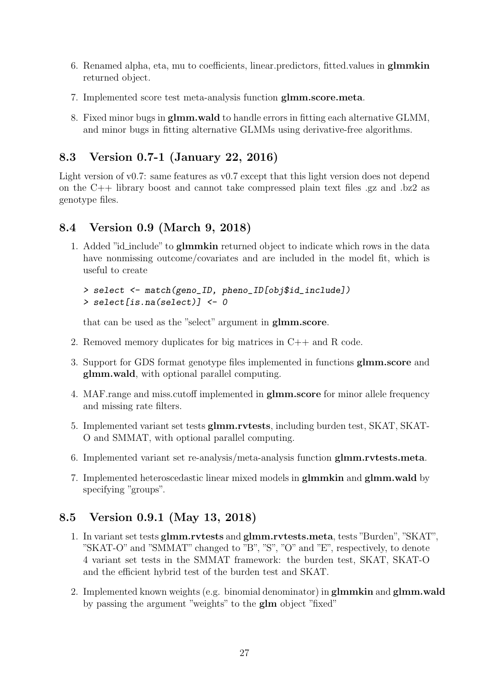- 6. Renamed alpha, eta, mu to coefficients, linear.predictors, fitted.values in glmmkin returned object.
- 7. Implemented score test meta-analysis function glmm.score.meta.
- 8. Fixed minor bugs in glmm.wald to handle errors in fitting each alternative GLMM, and minor bugs in fitting alternative GLMMs using derivative-free algorithms.

### <span id="page-26-0"></span>8.3 Version 0.7-1 (January 22, 2016)

Light version of v0.7: same features as v0.7 except that this light version does not depend on the C++ library boost and cannot take compressed plain text files .gz and .bz2 as genotype files.

### <span id="page-26-1"></span>8.4 Version 0.9 (March 9, 2018)

1. Added "id\_include" to glmmkin returned object to indicate which rows in the data have nonmissing outcome/covariates and are included in the model fit, which is useful to create

```
> select <- match(geno_ID, pheno_ID[obj$id_include])
> select[is.na(select)] <- 0
```
that can be used as the "select" argument in glmm.score.

- 2. Removed memory duplicates for big matrices in C++ and R code.
- 3. Support for GDS format genotype files implemented in functions glmm.score and glmm.wald, with optional parallel computing.
- 4. MAF.range and miss.cutoff implemented in glmm.score for minor allele frequency and missing rate filters.
- 5. Implemented variant set tests glmm.rvtests, including burden test, SKAT, SKAT-O and SMMAT, with optional parallel computing.
- 6. Implemented variant set re-analysis/meta-analysis function glmm.rvtests.meta.
- 7. Implemented heteroscedastic linear mixed models in glmmkin and glmm.wald by specifying "groups".

### <span id="page-26-2"></span>8.5 Version 0.9.1 (May 13, 2018)

- 1. In variant set tests glmm.rvtests and glmm.rvtests.meta, tests "Burden", "SKAT", "SKAT-O" and "SMMAT" changed to "B", "S", "O" and "E", respectively, to denote 4 variant set tests in the SMMAT framework: the burden test, SKAT, SKAT-O and the efficient hybrid test of the burden test and SKAT.
- 2. Implemented known weights (e.g. binomial denominator) in glmmkin and glmm.wald by passing the argument "weights" to the glm object "fixed"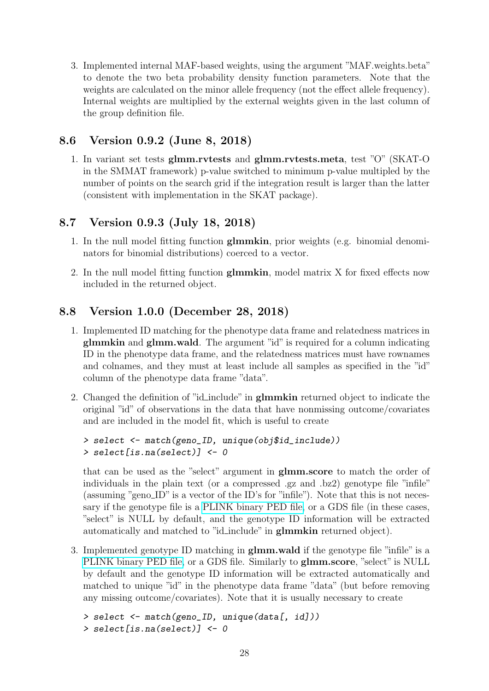3. Implemented internal MAF-based weights, using the argument "MAF.weights.beta" to denote the two beta probability density function parameters. Note that the weights are calculated on the minor allele frequency (not the effect allele frequency). Internal weights are multiplied by the external weights given in the last column of the group definition file.

### <span id="page-27-0"></span>8.6 Version 0.9.2 (June 8, 2018)

1. In variant set tests glmm.rvtests and glmm.rvtests.meta, test "O" (SKAT-O in the SMMAT framework) p-value switched to minimum p-value multipled by the number of points on the search grid if the integration result is larger than the latter (consistent with implementation in the SKAT package).

### <span id="page-27-1"></span>8.7 Version 0.9.3 (July 18, 2018)

- 1. In the null model fitting function glmmkin, prior weights (e.g. binomial denominators for binomial distributions) coerced to a vector.
- 2. In the null model fitting function glmmkin, model matrix X for fixed effects now included in the returned object.

### <span id="page-27-2"></span>8.8 Version 1.0.0 (December 28, 2018)

- 1. Implemented ID matching for the phenotype data frame and relatedness matrices in glmmkin and glmm.wald. The argument "id" is required for a column indicating ID in the phenotype data frame, and the relatedness matrices must have rownames and colnames, and they must at least include all samples as specified in the "id" column of the phenotype data frame "data".
- 2. Changed the definition of "id-include" in **glmmkin** returned object to indicate the original "id" of observations in the data that have nonmissing outcome/covariates and are included in the model fit, which is useful to create

```
> select <- match(geno_ID, unique(obj$id_include))
> select[is.na(select)] <- 0
```
that can be used as the "select" argument in glmm.score to match the order of individuals in the plain text (or a compressed .gz and .bz2) genotype file "infile" (assuming "geno ID" is a vector of the ID's for "infile"). Note that this is not necessary if the genotype file is a [PLINK binary PED file,](http://zzz.bwh.harvard.edu/plink/data.shtml#bed) or a GDS file (in these cases, "select" is NULL by default, and the genotype ID information will be extracted automatically and matched to "id\_include" in **glmmkin** returned object).

3. Implemented genotype ID matching in glmm.wald if the genotype file "infile" is a [PLINK binary PED file,](http://zzz.bwh.harvard.edu/plink/data.shtml#bed) or a GDS file. Similarly to glmm.score, "select" is NULL by default and the genotype ID information will be extracted automatically and matched to unique "id" in the phenotype data frame "data" (but before removing any missing outcome/covariates). Note that it is usually necessary to create

```
> select <- match(geno_ID, unique(data[, id]))
> select[is.na(select)] <- 0
```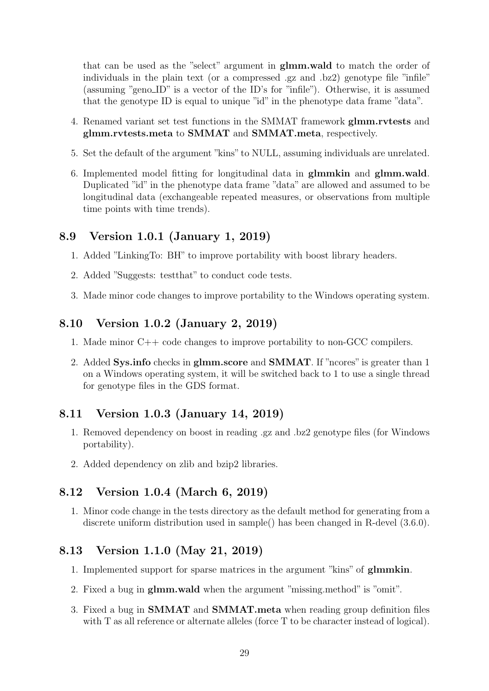that can be used as the "select" argument in glmm.wald to match the order of individuals in the plain text (or a compressed .gz and .bz2) genotype file "infile" (assuming "geno ID" is a vector of the ID's for "infile"). Otherwise, it is assumed that the genotype ID is equal to unique "id" in the phenotype data frame "data".

- 4. Renamed variant set test functions in the SMMAT framework glmm.rvtests and glmm.rvtests.meta to SMMAT and SMMAT.meta, respectively.
- 5. Set the default of the argument "kins" to NULL, assuming individuals are unrelated.
- 6. Implemented model fitting for longitudinal data in glmmkin and glmm.wald. Duplicated "id" in the phenotype data frame "data" are allowed and assumed to be longitudinal data (exchangeable repeated measures, or observations from multiple time points with time trends).

#### <span id="page-28-0"></span>8.9 Version 1.0.1 (January 1, 2019)

- 1. Added "LinkingTo: BH" to improve portability with boost library headers.
- 2. Added "Suggests: testthat" to conduct code tests.
- 3. Made minor code changes to improve portability to the Windows operating system.

#### <span id="page-28-1"></span>8.10 Version 1.0.2 (January 2, 2019)

- 1. Made minor C++ code changes to improve portability to non-GCC compilers.
- 2. Added Sys.info checks in glmm.score and SMMAT. If "ncores" is greater than 1 on a Windows operating system, it will be switched back to 1 to use a single thread for genotype files in the GDS format.

### <span id="page-28-2"></span>8.11 Version 1.0.3 (January 14, 2019)

- 1. Removed dependency on boost in reading .gz and .bz2 genotype files (for Windows portability).
- 2. Added dependency on zlib and bzip2 libraries.

#### <span id="page-28-3"></span>8.12 Version 1.0.4 (March 6, 2019)

1. Minor code change in the tests directory as the default method for generating from a discrete uniform distribution used in sample() has been changed in R-devel (3.6.0).

#### <span id="page-28-4"></span>8.13 Version 1.1.0 (May 21, 2019)

- 1. Implemented support for sparse matrices in the argument "kins" of glmmkin.
- 2. Fixed a bug in glmm.wald when the argument "missing.method" is "omit".
- 3. Fixed a bug in SMMAT and SMMAT.meta when reading group definition files with T as all reference or alternate alleles (force T to be character instead of logical).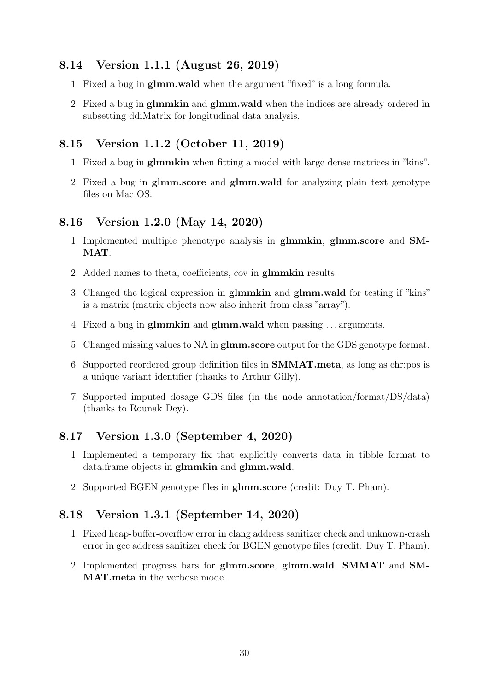### <span id="page-29-0"></span>8.14 Version 1.1.1 (August 26, 2019)

- 1. Fixed a bug in glmm.wald when the argument "fixed" is a long formula.
- 2. Fixed a bug in glmmkin and glmm.wald when the indices are already ordered in subsetting ddiMatrix for longitudinal data analysis.

### <span id="page-29-1"></span>8.15 Version 1.1.2 (October 11, 2019)

- 1. Fixed a bug in glmmkin when fitting a model with large dense matrices in "kins".
- 2. Fixed a bug in glmm.score and glmm.wald for analyzing plain text genotype files on Mac OS.

#### <span id="page-29-2"></span>8.16 Version 1.2.0 (May 14, 2020)

- 1. Implemented multiple phenotype analysis in glmmkin, glmm.score and SM-MAT.
- 2. Added names to theta, coefficients, cov in glmmkin results.
- 3. Changed the logical expression in glmmkin and glmm.wald for testing if "kins" is a matrix (matrix objects now also inherit from class "array").
- 4. Fixed a bug in glmmkin and glmm.wald when passing . . . arguments.
- 5. Changed missing values to NA in glmm.score output for the GDS genotype format.
- 6. Supported reordered group definition files in SMMAT.meta, as long as chr:pos is a unique variant identifier (thanks to Arthur Gilly).
- 7. Supported imputed dosage GDS files (in the node annotation/format/DS/data) (thanks to Rounak Dey).

### <span id="page-29-3"></span>8.17 Version 1.3.0 (September 4, 2020)

- 1. Implemented a temporary fix that explicitly converts data in tibble format to data.frame objects in glmmkin and glmm.wald.
- 2. Supported BGEN genotype files in glmm.score (credit: Duy T. Pham).

#### <span id="page-29-4"></span>8.18 Version 1.3.1 (September 14, 2020)

- 1. Fixed heap-buffer-overflow error in clang address sanitizer check and unknown-crash error in gcc address sanitizer check for BGEN genotype files (credit: Duy T. Pham).
- 2. Implemented progress bars for glmm.score, glmm.wald, SMMAT and SM-MAT.meta in the verbose mode.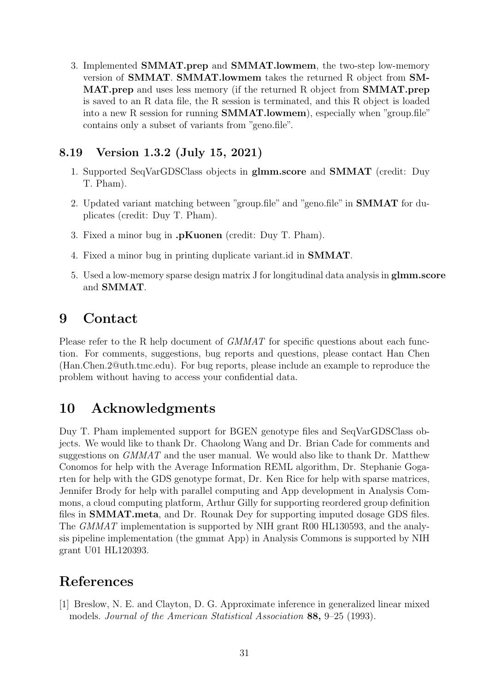3. Implemented SMMAT.prep and SMMAT.lowmem, the two-step low-memory version of SMMAT. SMMAT.lowmem takes the returned R object from SM-MAT.prep and uses less memory (if the returned R object from SMMAT.prep is saved to an R data file, the R session is terminated, and this R object is loaded into a new R session for running SMMAT.lowmem), especially when "group.file" contains only a subset of variants from "geno.file".

### <span id="page-30-0"></span>8.19 Version 1.3.2 (July 15, 2021)

- 1. Supported SeqVarGDSClass objects in glmm.score and SMMAT (credit: Duy T. Pham).
- 2. Updated variant matching between "group.file" and "geno.file" in SMMAT for duplicates (credit: Duy T. Pham).
- 3. Fixed a minor bug in .pKuonen (credit: Duy T. Pham).
- 4. Fixed a minor bug in printing duplicate variant.id in SMMAT.
- 5. Used a low-memory sparse design matrix J for longitudinal data analysis in glmm.score and SMMAT.

## <span id="page-30-1"></span>9 Contact

Please refer to the R help document of *GMMAT* for specific questions about each function. For comments, suggestions, bug reports and questions, please contact Han Chen (Han.Chen.2@uth.tmc.edu). For bug reports, please include an example to reproduce the problem without having to access your confidential data.

# <span id="page-30-2"></span>10 Acknowledgments

Duy T. Pham implemented support for BGEN genotype files and SeqVarGDSClass objects. We would like to thank Dr. Chaolong Wang and Dr. Brian Cade for comments and suggestions on GMMAT and the user manual. We would also like to thank Dr. Matthew Conomos for help with the Average Information REML algorithm, Dr. Stephanie Gogarten for help with the GDS genotype format, Dr. Ken Rice for help with sparse matrices, Jennifer Brody for help with parallel computing and App development in Analysis Commons, a cloud computing platform, Arthur Gilly for supporting reordered group definition files in SMMAT.meta, and Dr. Rounak Dey for supporting imputed dosage GDS files. The GMMAT implementation is supported by NIH grant R00 HL130593, and the analysis pipeline implementation (the gmmat App) in Analysis Commons is supported by NIH grant U01 HL120393.

# References

<span id="page-30-3"></span>[1] Breslow, N. E. and Clayton, D. G. Approximate inference in generalized linear mixed models. Journal of the American Statistical Association 88, 9–25 (1993).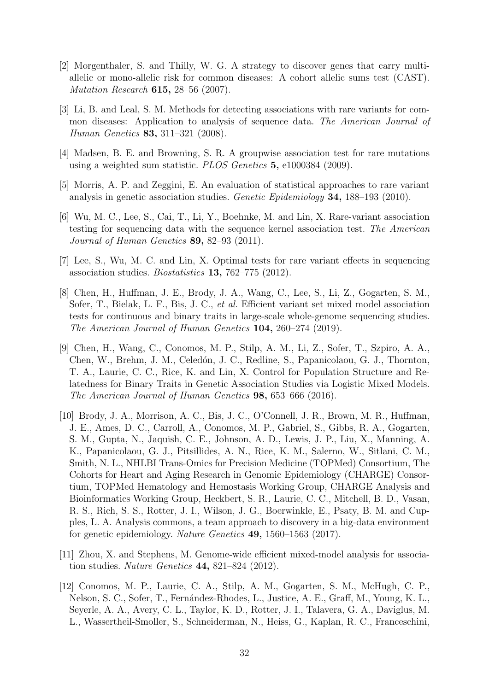- <span id="page-31-0"></span>[2] Morgenthaler, S. and Thilly, W. G. A strategy to discover genes that carry multiallelic or mono-allelic risk for common diseases: A cohort allelic sums test (CAST). Mutation Research 615, 28–56 (2007).
- [3] Li, B. and Leal, S. M. Methods for detecting associations with rare variants for common diseases: Application to analysis of sequence data. The American Journal of Human Genetics 83, 311–321 (2008).
- [4] Madsen, B. E. and Browning, S. R. A groupwise association test for rare mutations using a weighted sum statistic. PLOS Genetics 5, e1000384 (2009).
- <span id="page-31-1"></span>[5] Morris, A. P. and Zeggini, E. An evaluation of statistical approaches to rare variant analysis in genetic association studies. Genetic Epidemiology 34, 188–193 (2010).
- <span id="page-31-2"></span>[6] Wu, M. C., Lee, S., Cai, T., Li, Y., Boehnke, M. and Lin, X. Rare-variant association testing for sequencing data with the sequence kernel association test. The American Journal of Human Genetics 89, 82–93 (2011).
- <span id="page-31-3"></span>[7] Lee, S., Wu, M. C. and Lin, X. Optimal tests for rare variant effects in sequencing association studies. Biostatistics 13, 762–775 (2012).
- <span id="page-31-4"></span>[8] Chen, H., Huffman, J. E., Brody, J. A., Wang, C., Lee, S., Li, Z., Gogarten, S. M., Sofer, T., Bielak, L. F., Bis, J. C., et al. Efficient variant set mixed model association tests for continuous and binary traits in large-scale whole-genome sequencing studies. The American Journal of Human Genetics 104, 260–274 (2019).
- <span id="page-31-5"></span>[9] Chen, H., Wang, C., Conomos, M. P., Stilp, A. M., Li, Z., Sofer, T., Szpiro, A. A., Chen, W., Brehm, J. M., Celedón, J. C., Redline, S., Papanicolaou, G. J., Thornton, T. A., Laurie, C. C., Rice, K. and Lin, X. Control for Population Structure and Relatedness for Binary Traits in Genetic Association Studies via Logistic Mixed Models. The American Journal of Human Genetics 98, 653–666 (2016).
- <span id="page-31-6"></span>[10] Brody, J. A., Morrison, A. C., Bis, J. C., O'Connell, J. R., Brown, M. R., Huffman, J. E., Ames, D. C., Carroll, A., Conomos, M. P., Gabriel, S., Gibbs, R. A., Gogarten, S. M., Gupta, N., Jaquish, C. E., Johnson, A. D., Lewis, J. P., Liu, X., Manning, A. K., Papanicolaou, G. J., Pitsillides, A. N., Rice, K. M., Salerno, W., Sitlani, C. M., Smith, N. L., NHLBI Trans-Omics for Precision Medicine (TOPMed) Consortium, The Cohorts for Heart and Aging Research in Genomic Epidemiology (CHARGE) Consortium, TOPMed Hematology and Hemostasis Working Group, CHARGE Analysis and Bioinformatics Working Group, Heckbert, S. R., Laurie, C. C., Mitchell, B. D., Vasan, R. S., Rich, S. S., Rotter, J. I., Wilson, J. G., Boerwinkle, E., Psaty, B. M. and Cupples, L. A. Analysis commons, a team approach to discovery in a big-data environment for genetic epidemiology. Nature Genetics 49, 1560–1563 (2017).
- <span id="page-31-7"></span>[11] Zhou, X. and Stephens, M. Genome-wide efficient mixed-model analysis for association studies. Nature Genetics 44, 821–824 (2012).
- <span id="page-31-8"></span>[12] Conomos, M. P., Laurie, C. A., Stilp, A. M., Gogarten, S. M., McHugh, C. P., Nelson, S. C., Sofer, T., Fern´andez-Rhodes, L., Justice, A. E., Graff, M., Young, K. L., Seyerle, A. A., Avery, C. L., Taylor, K. D., Rotter, J. I., Talavera, G. A., Daviglus, M. L., Wassertheil-Smoller, S., Schneiderman, N., Heiss, G., Kaplan, R. C., Franceschini,